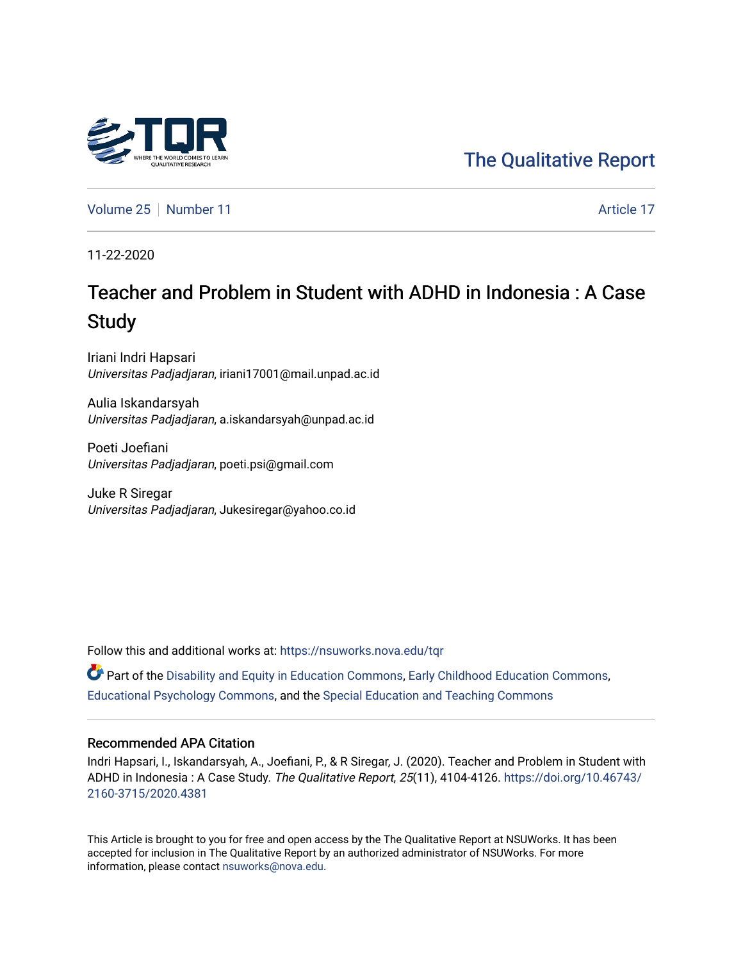

[The Qualitative Report](https://nsuworks.nova.edu/tqr) 

[Volume 25](https://nsuworks.nova.edu/tqr/vol25) [Number 11](https://nsuworks.nova.edu/tqr/vol25/iss11) Article 17

11-22-2020

# Teacher and Problem in Student with ADHD in Indonesia : A Case **Study**

Iriani Indri Hapsari Universitas Padjadjaran, iriani17001@mail.unpad.ac.id

Aulia Iskandarsyah Universitas Padjadjaran, a.iskandarsyah@unpad.ac.id

Poeti Joefiani Universitas Padjadjaran, poeti.psi@gmail.com

Juke R Siregar Universitas Padjadjaran, Jukesiregar@yahoo.co.id

Follow this and additional works at: [https://nsuworks.nova.edu/tqr](https://nsuworks.nova.edu/tqr?utm_source=nsuworks.nova.edu%2Ftqr%2Fvol25%2Fiss11%2F17&utm_medium=PDF&utm_campaign=PDFCoverPages) 

**P** Part of the [Disability and Equity in Education Commons](http://network.bepress.com/hgg/discipline/1040?utm_source=nsuworks.nova.edu%2Ftqr%2Fvol25%2Fiss11%2F17&utm_medium=PDF&utm_campaign=PDFCoverPages), [Early Childhood Education Commons](http://network.bepress.com/hgg/discipline/1377?utm_source=nsuworks.nova.edu%2Ftqr%2Fvol25%2Fiss11%2F17&utm_medium=PDF&utm_campaign=PDFCoverPages), [Educational Psychology Commons](http://network.bepress.com/hgg/discipline/798?utm_source=nsuworks.nova.edu%2Ftqr%2Fvol25%2Fiss11%2F17&utm_medium=PDF&utm_campaign=PDFCoverPages), and the [Special Education and Teaching Commons](http://network.bepress.com/hgg/discipline/801?utm_source=nsuworks.nova.edu%2Ftqr%2Fvol25%2Fiss11%2F17&utm_medium=PDF&utm_campaign=PDFCoverPages)

## Recommended APA Citation

Indri Hapsari, I., Iskandarsyah, A., Joefiani, P., & R Siregar, J. (2020). Teacher and Problem in Student with ADHD in Indonesia : A Case Study. The Qualitative Report, 25(11), 4104-4126. [https://doi.org/10.46743/](https://doi.org/10.46743/2160-3715/2020.4381) [2160-3715/2020.4381](https://doi.org/10.46743/2160-3715/2020.4381)

This Article is brought to you for free and open access by the The Qualitative Report at NSUWorks. It has been accepted for inclusion in The Qualitative Report by an authorized administrator of NSUWorks. For more information, please contact [nsuworks@nova.edu.](mailto:nsuworks@nova.edu)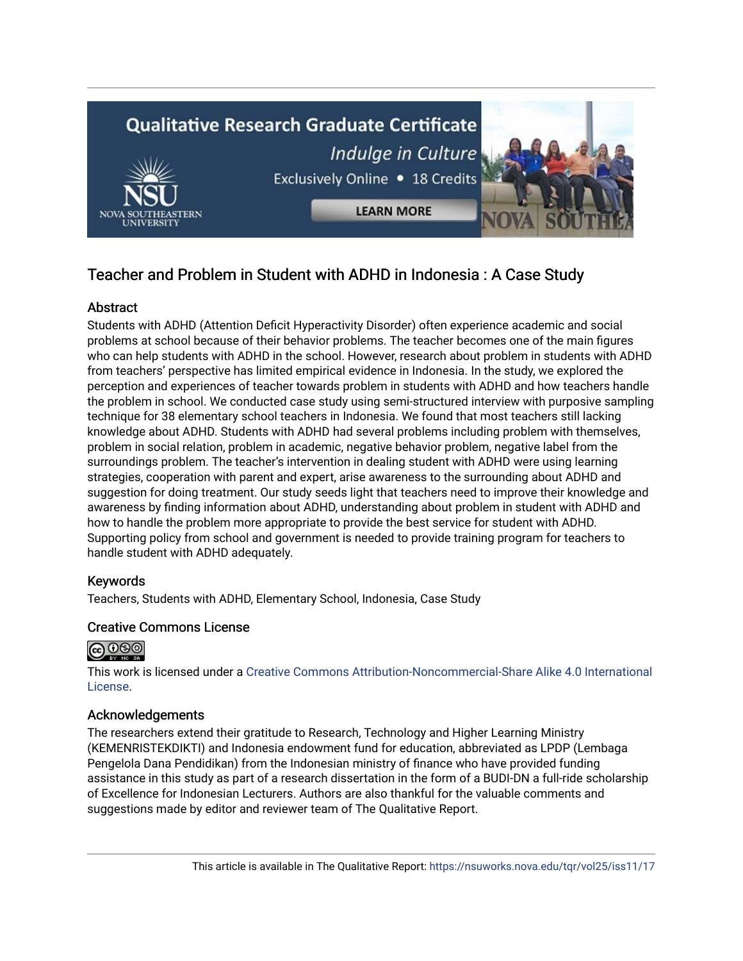

## Teacher and Problem in Student with ADHD in Indonesia : A Case Study

## **Abstract**

Students with ADHD (Attention Deficit Hyperactivity Disorder) often experience academic and social problems at school because of their behavior problems. The teacher becomes one of the main figures who can help students with ADHD in the school. However, research about problem in students with ADHD from teachers' perspective has limited empirical evidence in Indonesia. In the study, we explored the perception and experiences of teacher towards problem in students with ADHD and how teachers handle the problem in school. We conducted case study using semi-structured interview with purposive sampling technique for 38 elementary school teachers in Indonesia. We found that most teachers still lacking knowledge about ADHD. Students with ADHD had several problems including problem with themselves, problem in social relation, problem in academic, negative behavior problem, negative label from the surroundings problem. The teacher's intervention in dealing student with ADHD were using learning strategies, cooperation with parent and expert, arise awareness to the surrounding about ADHD and suggestion for doing treatment. Our study seeds light that teachers need to improve their knowledge and awareness by finding information about ADHD, understanding about problem in student with ADHD and how to handle the problem more appropriate to provide the best service for student with ADHD. Supporting policy from school and government is needed to provide training program for teachers to handle student with ADHD adequately.

## Keywords

Teachers, Students with ADHD, Elementary School, Indonesia, Case Study

## Creative Commons License



This work is licensed under a [Creative Commons Attribution-Noncommercial-Share Alike 4.0 International](https://creativecommons.org/licenses/by-nc-sa/4.0/)  [License](https://creativecommons.org/licenses/by-nc-sa/4.0/).

## Acknowledgements

The researchers extend their gratitude to Research, Technology and Higher Learning Ministry (KEMENRISTEKDIKTI) and Indonesia endowment fund for education, abbreviated as LPDP (Lembaga Pengelola Dana Pendidikan) from the Indonesian ministry of finance who have provided funding assistance in this study as part of a research dissertation in the form of a BUDI-DN a full-ride scholarship of Excellence for Indonesian Lecturers. Authors are also thankful for the valuable comments and suggestions made by editor and reviewer team of The Qualitative Report.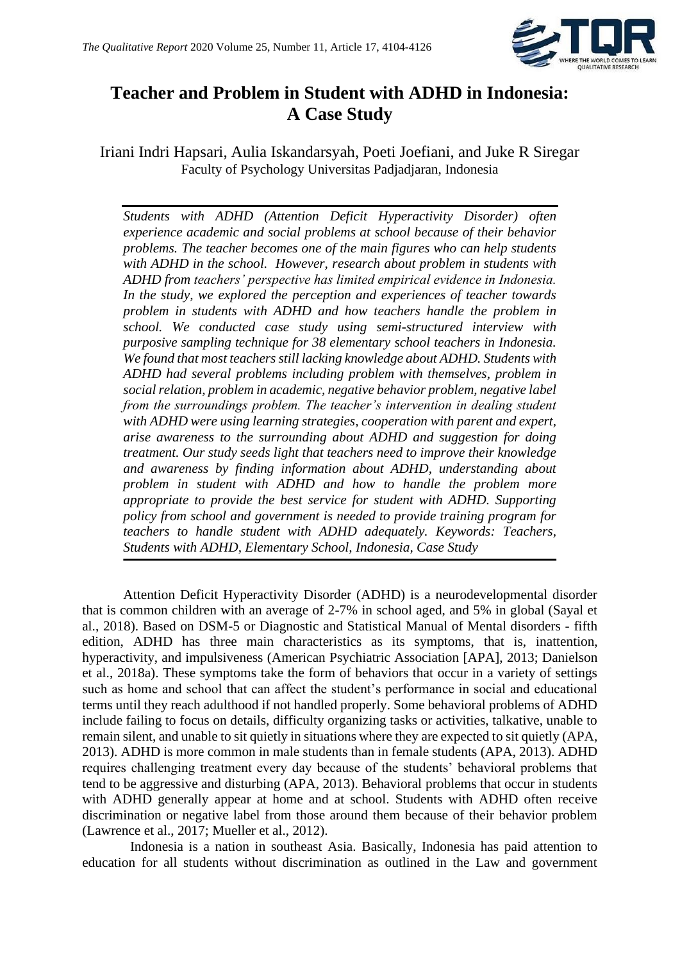

## **Teacher and Problem in Student with ADHD in Indonesia: A Case Study**

Iriani Indri Hapsari, Aulia Iskandarsyah, Poeti Joefiani, and Juke R Siregar Faculty of Psychology Universitas Padjadjaran, Indonesia

*Students with ADHD (Attention Deficit Hyperactivity Disorder) often experience academic and social problems at school because of their behavior problems. The teacher becomes one of the main figures who can help students with ADHD in the school. However, research about problem in students with ADHD from teachers' perspective has limited empirical evidence in Indonesia. In the study, we explored the perception and experiences of teacher towards problem in students with ADHD and how teachers handle the problem in school. We conducted case study using semi-structured interview with purposive sampling technique for 38 elementary school teachers in Indonesia. We found that most teachers still lacking knowledge about ADHD. Students with ADHD had several problems including problem with themselves, problem in social relation, problem in academic, negative behavior problem, negative label from the surroundings problem. The teacher's intervention in dealing student with ADHD were using learning strategies, cooperation with parent and expert, arise awareness to the surrounding about ADHD and suggestion for doing treatment. Our study seeds light that teachers need to improve their knowledge and awareness by finding information about ADHD, understanding about problem in student with ADHD and how to handle the problem more appropriate to provide the best service for student with ADHD. Supporting policy from school and government is needed to provide training program for teachers to handle student with ADHD adequately. Keywords: Teachers, Students with ADHD, Elementary School, Indonesia, Case Study*

Attention Deficit Hyperactivity Disorder (ADHD) is a neurodevelopmental disorder that is common children with an average of 2-7% in school aged, and 5% in global (Sayal et al., 2018). Based on DSM-5 or Diagnostic and Statistical Manual of Mental disorders - fifth edition, ADHD has three main characteristics as its symptoms, that is, inattention, hyperactivity, and impulsiveness (American Psychiatric Association [APA], 2013; Danielson et al., 2018a). These symptoms take the form of behaviors that occur in a variety of settings such as home and school that can affect the student's performance in social and educational terms until they reach adulthood if not handled properly. Some behavioral problems of ADHD include failing to focus on details, difficulty organizing tasks or activities, talkative, unable to remain silent, and unable to sit quietly in situations where they are expected to sit quietly (APA, 2013). ADHD is more common in male students than in female students (APA, 2013). ADHD requires challenging treatment every day because of the students' behavioral problems that tend to be aggressive and disturbing (APA, 2013). Behavioral problems that occur in students with ADHD generally appear at home and at school. Students with ADHD often receive discrimination or negative label from those around them because of their behavior problem (Lawrence et al., 2017; Mueller et al., 2012).

 Indonesia is a nation in southeast Asia. Basically, Indonesia has paid attention to education for all students without discrimination as outlined in the Law and government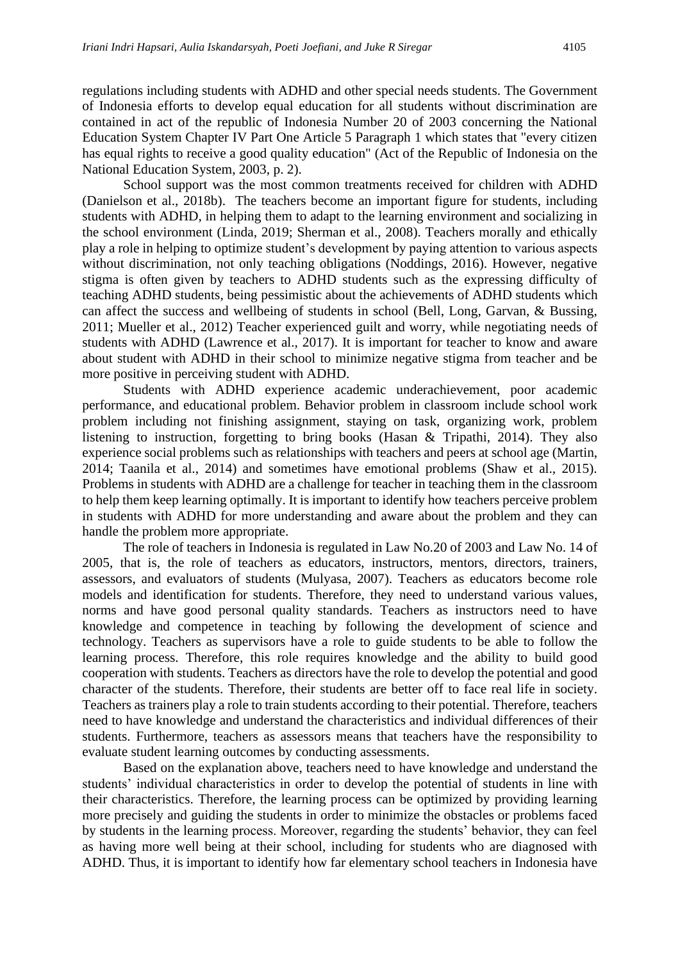regulations including students with ADHD and other special needs students. The Government of Indonesia efforts to develop equal education for all students without discrimination are contained in act of the republic of Indonesia Number 20 of 2003 concerning the National Education System Chapter IV Part One Article 5 Paragraph 1 which states that "every citizen has equal rights to receive a good quality education" (Act of the Republic of Indonesia on the National Education System, 2003, p. 2).

School support was the most common treatments received for children with ADHD (Danielson et al., 2018b). The teachers become an important figure for students, including students with ADHD, in helping them to adapt to the learning environment and socializing in the school environment (Linda, 2019; Sherman et al., 2008). Teachers morally and ethically play a role in helping to optimize student's development by paying attention to various aspects without discrimination, not only teaching obligations (Noddings, 2016). However, negative stigma is often given by teachers to ADHD students such as the expressing difficulty of teaching ADHD students, being pessimistic about the achievements of ADHD students which can affect the success and wellbeing of students in school (Bell, Long, Garvan, & Bussing, 2011; Mueller et al., 2012) Teacher experienced guilt and worry, while negotiating needs of students with ADHD (Lawrence et al., 2017). It is important for teacher to know and aware about student with ADHD in their school to minimize negative stigma from teacher and be more positive in perceiving student with ADHD.

Students with ADHD experience academic underachievement, poor academic performance, and educational problem. Behavior problem in classroom include school work problem including not finishing assignment, staying on task, organizing work, problem listening to instruction, forgetting to bring books (Hasan & Tripathi, 2014). They also experience social problems such as relationships with teachers and peers at school age (Martin, 2014; Taanila et al., 2014) and sometimes have emotional problems (Shaw et al., 2015). Problems in students with ADHD are a challenge for teacher in teaching them in the classroom to help them keep learning optimally. It is important to identify how teachers perceive problem in students with ADHD for more understanding and aware about the problem and they can handle the problem more appropriate.

The role of teachers in Indonesia is regulated in Law No.20 of 2003 and Law No. 14 of 2005, that is, the role of teachers as educators, instructors, mentors, directors, trainers, assessors, and evaluators of students (Mulyasa, 2007). Teachers as educators become role models and identification for students. Therefore, they need to understand various values, norms and have good personal quality standards. Teachers as instructors need to have knowledge and competence in teaching by following the development of science and technology. Teachers as supervisors have a role to guide students to be able to follow the learning process. Therefore, this role requires knowledge and the ability to build good cooperation with students. Teachers as directors have the role to develop the potential and good character of the students. Therefore, their students are better off to face real life in society. Teachers as trainers play a role to train students according to their potential. Therefore, teachers need to have knowledge and understand the characteristics and individual differences of their students. Furthermore, teachers as assessors means that teachers have the responsibility to evaluate student learning outcomes by conducting assessments.

Based on the explanation above, teachers need to have knowledge and understand the students' individual characteristics in order to develop the potential of students in line with their characteristics. Therefore, the learning process can be optimized by providing learning more precisely and guiding the students in order to minimize the obstacles or problems faced by students in the learning process. Moreover, regarding the students' behavior, they can feel as having more well being at their school, including for students who are diagnosed with ADHD. Thus, it is important to identify how far elementary school teachers in Indonesia have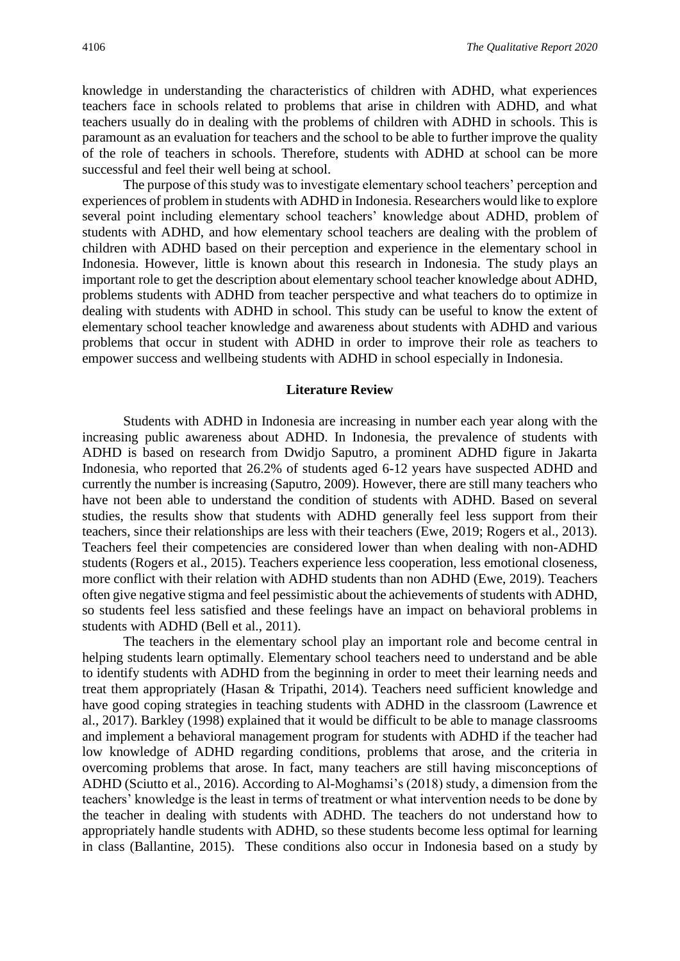knowledge in understanding the characteristics of children with ADHD, what experiences teachers face in schools related to problems that arise in children with ADHD, and what teachers usually do in dealing with the problems of children with ADHD in schools. This is paramount as an evaluation for teachers and the school to be able to further improve the quality of the role of teachers in schools. Therefore, students with ADHD at school can be more successful and feel their well being at school.

The purpose of this study was to investigate elementary school teachers' perception and experiences of problem in students with ADHD in Indonesia. Researchers would like to explore several point including elementary school teachers' knowledge about ADHD, problem of students with ADHD, and how elementary school teachers are dealing with the problem of children with ADHD based on their perception and experience in the elementary school in Indonesia. However, little is known about this research in Indonesia. The study plays an important role to get the description about elementary school teacher knowledge about ADHD, problems students with ADHD from teacher perspective and what teachers do to optimize in dealing with students with ADHD in school. This study can be useful to know the extent of elementary school teacher knowledge and awareness about students with ADHD and various problems that occur in student with ADHD in order to improve their role as teachers to empower success and wellbeing students with ADHD in school especially in Indonesia.

#### **Literature Review**

Students with ADHD in Indonesia are increasing in number each year along with the increasing public awareness about ADHD. In Indonesia, the prevalence of students with ADHD is based on research from Dwidjo Saputro, a prominent ADHD figure in Jakarta Indonesia, who reported that 26.2% of students aged 6-12 years have suspected ADHD and currently the number is increasing (Saputro, 2009). However, there are still many teachers who have not been able to understand the condition of students with ADHD. Based on several studies, the results show that students with ADHD generally feel less support from their teachers, since their relationships are less with their teachers (Ewe, 2019; Rogers et al., 2013). Teachers feel their competencies are considered lower than when dealing with non-ADHD students (Rogers et al., 2015). Teachers experience less cooperation, less emotional closeness, more conflict with their relation with ADHD students than non ADHD (Ewe, 2019). Teachers often give negative stigma and feel pessimistic about the achievements of students with ADHD, so students feel less satisfied and these feelings have an impact on behavioral problems in students with ADHD (Bell et al., 2011).

The teachers in the elementary school play an important role and become central in helping students learn optimally. Elementary school teachers need to understand and be able to identify students with ADHD from the beginning in order to meet their learning needs and treat them appropriately (Hasan & Tripathi, 2014). Teachers need sufficient knowledge and have good coping strategies in teaching students with ADHD in the classroom (Lawrence et al., 2017). Barkley (1998) explained that it would be difficult to be able to manage classrooms and implement a behavioral management program for students with ADHD if the teacher had low knowledge of ADHD regarding conditions, problems that arose, and the criteria in overcoming problems that arose. In fact, many teachers are still having misconceptions of ADHD (Sciutto et al., 2016). According to Al-Moghamsi's (2018) study, a dimension from the teachers' knowledge is the least in terms of treatment or what intervention needs to be done by the teacher in dealing with students with ADHD. The teachers do not understand how to appropriately handle students with ADHD, so these students become less optimal for learning in class (Ballantine, 2015). These conditions also occur in Indonesia based on a study by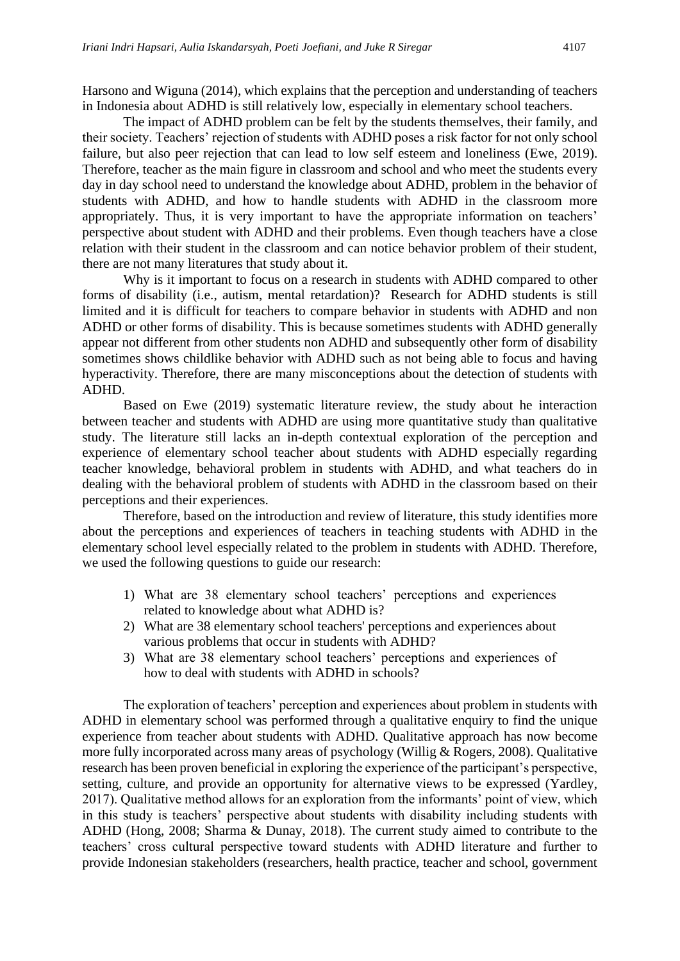Harsono and Wiguna (2014), which explains that the perception and understanding of teachers in Indonesia about ADHD is still relatively low, especially in elementary school teachers.

The impact of ADHD problem can be felt by the students themselves, their family, and their society. Teachers' rejection of students with ADHD poses a risk factor for not only school failure, but also peer rejection that can lead to low self esteem and loneliness (Ewe, 2019). Therefore, teacher as the main figure in classroom and school and who meet the students every day in day school need to understand the knowledge about ADHD, problem in the behavior of students with ADHD, and how to handle students with ADHD in the classroom more appropriately. Thus, it is very important to have the appropriate information on teachers' perspective about student with ADHD and their problems. Even though teachers have a close relation with their student in the classroom and can notice behavior problem of their student, there are not many literatures that study about it.

Why is it important to focus on a research in students with ADHD compared to other forms of disability (i.e., autism, mental retardation)? Research for ADHD students is still limited and it is difficult for teachers to compare behavior in students with ADHD and non ADHD or other forms of disability. This is because sometimes students with ADHD generally appear not different from other students non ADHD and subsequently other form of disability sometimes shows childlike behavior with ADHD such as not being able to focus and having hyperactivity. Therefore, there are many misconceptions about the detection of students with ADHD.

Based on Ewe (2019) systematic literature review, the study about he interaction between teacher and students with ADHD are using more quantitative study than qualitative study. The literature still lacks an in-depth contextual exploration of the perception and experience of elementary school teacher about students with ADHD especially regarding teacher knowledge, behavioral problem in students with ADHD, and what teachers do in dealing with the behavioral problem of students with ADHD in the classroom based on their perceptions and their experiences.

Therefore, based on the introduction and review of literature, this study identifies more about the perceptions and experiences of teachers in teaching students with ADHD in the elementary school level especially related to the problem in students with ADHD. Therefore, we used the following questions to guide our research:

- 1) What are 38 elementary school teachers' perceptions and experiences related to knowledge about what ADHD is?
- 2) What are 38 elementary school teachers' perceptions and experiences about various problems that occur in students with ADHD?
- 3) What are 38 elementary school teachers' perceptions and experiences of how to deal with students with ADHD in schools?

The exploration of teachers' perception and experiences about problem in students with ADHD in elementary school was performed through a qualitative enquiry to find the unique experience from teacher about students with ADHD. Qualitative approach has now become more fully incorporated across many areas of psychology (Willig & Rogers, 2008). Qualitative research has been proven beneficial in exploring the experience of the participant's perspective, setting, culture, and provide an opportunity for alternative views to be expressed (Yardley, 2017). Qualitative method allows for an exploration from the informants' point of view, which in this study is teachers' perspective about students with disability including students with ADHD (Hong, 2008; Sharma & Dunay, 2018). The current study aimed to contribute to the teachers' cross cultural perspective toward students with ADHD literature and further to provide Indonesian stakeholders (researchers, health practice, teacher and school, government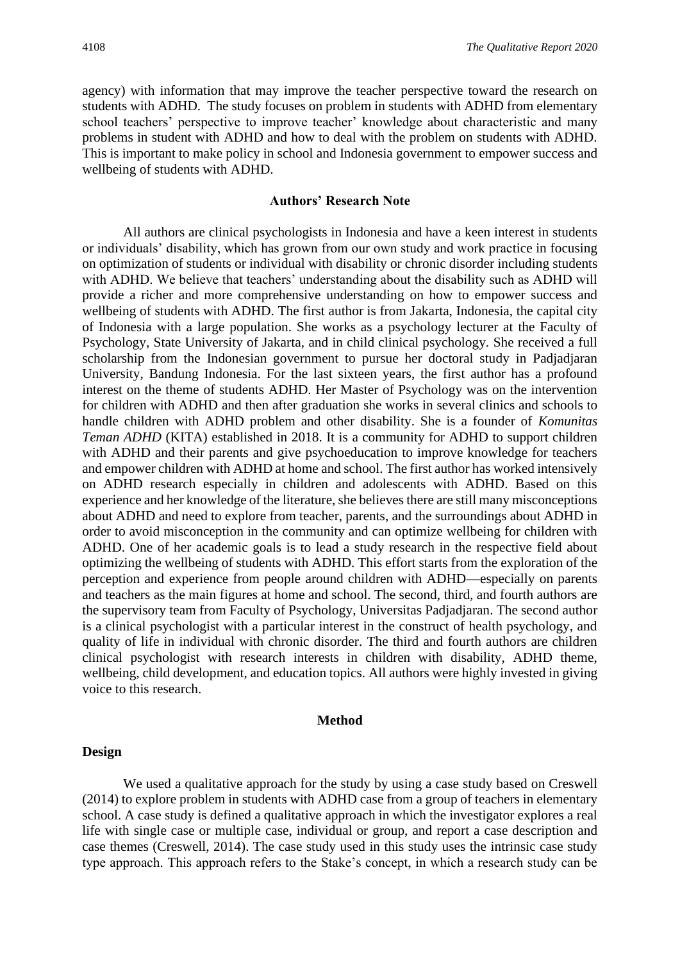agency) with information that may improve the teacher perspective toward the research on students with ADHD. The study focuses on problem in students with ADHD from elementary school teachers' perspective to improve teacher' knowledge about characteristic and many problems in student with ADHD and how to deal with the problem on students with ADHD. This is important to make policy in school and Indonesia government to empower success and wellbeing of students with ADHD.

#### **Authors' Research Note**

All authors are clinical psychologists in Indonesia and have a keen interest in students or individuals' disability, which has grown from our own study and work practice in focusing on optimization of students or individual with disability or chronic disorder including students with ADHD. We believe that teachers' understanding about the disability such as ADHD will provide a richer and more comprehensive understanding on how to empower success and wellbeing of students with ADHD. The first author is from Jakarta, Indonesia, the capital city of Indonesia with a large population. She works as a psychology lecturer at the Faculty of Psychology, State University of Jakarta, and in child clinical psychology. She received a full scholarship from the Indonesian government to pursue her doctoral study in Padjadjaran University, Bandung Indonesia. For the last sixteen years, the first author has a profound interest on the theme of students ADHD. Her Master of Psychology was on the intervention for children with ADHD and then after graduation she works in several clinics and schools to handle children with ADHD problem and other disability. She is a founder of *Komunitas Teman ADHD* (KITA) established in 2018. It is a community for ADHD to support children with ADHD and their parents and give psychoeducation to improve knowledge for teachers and empower children with ADHD at home and school. The first author has worked intensively on ADHD research especially in children and adolescents with ADHD. Based on this experience and her knowledge of the literature, she believes there are still many misconceptions about ADHD and need to explore from teacher, parents, and the surroundings about ADHD in order to avoid misconception in the community and can optimize wellbeing for children with ADHD. One of her academic goals is to lead a study research in the respective field about optimizing the wellbeing of students with ADHD. This effort starts from the exploration of the perception and experience from people around children with ADHD—especially on parents and teachers as the main figures at home and school. The second, third, and fourth authors are the supervisory team from Faculty of Psychology, Universitas Padjadjaran. The second author is a clinical psychologist with a particular interest in the construct of health psychology, and quality of life in individual with chronic disorder. The third and fourth authors are children clinical psychologist with research interests in children with disability, ADHD theme, wellbeing, child development, and education topics. All authors were highly invested in giving voice to this research.

## **Method**

#### **Design**

We used a qualitative approach for the study by using a case study based on Creswell (2014) to explore problem in students with ADHD case from a group of teachers in elementary school. A case study is defined a qualitative approach in which the investigator explores a real life with single case or multiple case, individual or group, and report a case description and case themes (Creswell, 2014). The case study used in this study uses the intrinsic case study type approach. This approach refers to the Stake's concept, in which a research study can be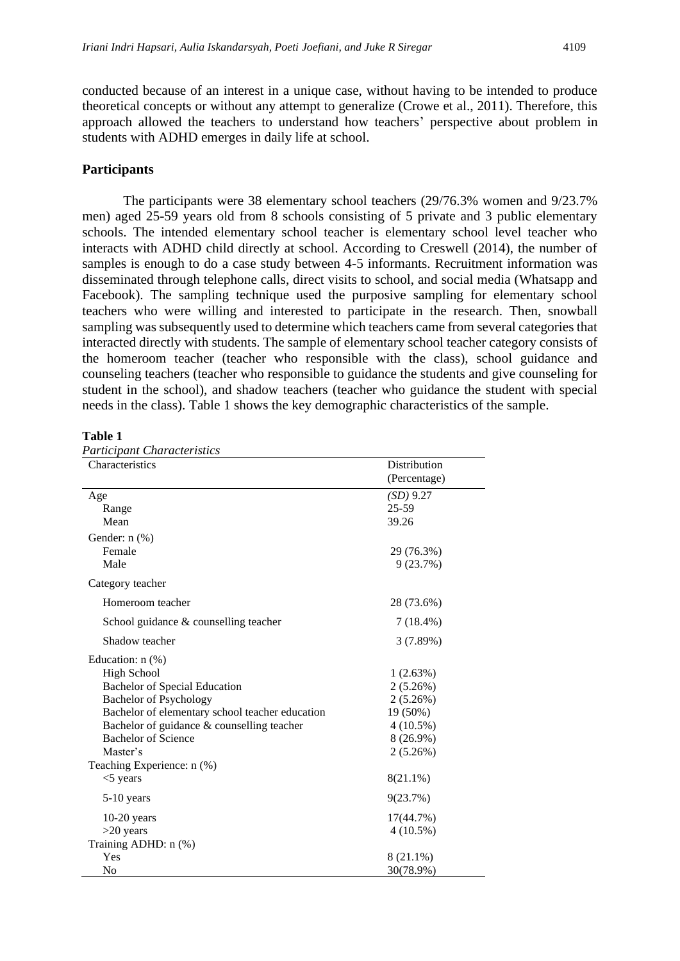conducted because of an interest in a unique case, without having to be intended to produce theoretical concepts or without any attempt to generalize (Crowe et al., 2011). Therefore, this approach allowed the teachers to understand how teachers' perspective about problem in students with ADHD emerges in daily life at school.

## **Participants**

The participants were 38 elementary school teachers (29/76.3% women and 9/23.7% men) aged 25-59 years old from 8 schools consisting of 5 private and 3 public elementary schools. The intended elementary school teacher is elementary school level teacher who interacts with ADHD child directly at school. According to Creswell (2014), the number of samples is enough to do a case study between 4-5 informants. Recruitment information was disseminated through telephone calls, direct visits to school, and social media (Whatsapp and Facebook). The sampling technique used the purposive sampling for elementary school teachers who were willing and interested to participate in the research. Then, snowball sampling was subsequently used to determine which teachers came from several categories that interacted directly with students. The sample of elementary school teacher category consists of the homeroom teacher (teacher who responsible with the class), school guidance and counseling teachers (teacher who responsible to guidance the students and give counseling for student in the school), and shadow teachers (teacher who guidance the student with special needs in the class). Table 1 shows the key demographic characteristics of the sample.

#### **Table 1**

| Characteristics                                 | Distribution<br>(Percentage) |
|-------------------------------------------------|------------------------------|
| Age                                             | (SD) 9.27                    |
| Range                                           | $25 - 59$                    |
| Mean                                            | 39.26                        |
| Gender: n (%)                                   |                              |
| Female                                          | 29 (76.3%)                   |
| Male                                            | 9(23.7%)                     |
| Category teacher                                |                              |
| Homeroom teacher                                | 28 (73.6%)                   |
| School guidance & counselling teacher           | $7(18.4\%)$                  |
| Shadow teacher                                  | 3(7.89%)                     |
| Education: $n$ $%$ )                            |                              |
| <b>High School</b>                              | 1(2.63%)                     |
| <b>Bachelor of Special Education</b>            | $2(5.26\%)$                  |
| <b>Bachelor of Psychology</b>                   | 2(5.26%)                     |
| Bachelor of elementary school teacher education | 19 (50%)                     |
| Bachelor of guidance & counselling teacher      | $4(10.5\%)$                  |
| Bachelor of Science                             | 8 (26.9%)                    |
| Master's                                        | $2(5.26\%)$                  |
| Teaching Experience: n (%)                      |                              |
| $<$ 5 years                                     | $8(21.1\%)$                  |
| $5-10$ years                                    | 9(23.7%)                     |
| $10-20$ years                                   | 17(44.7%)                    |
| $>20$ years                                     | $4(10.5\%)$                  |
| Training ADHD: n (%)                            |                              |
| Yes                                             | 8 (21.1%)                    |
| N <sub>o</sub>                                  | 30(78.9%)                    |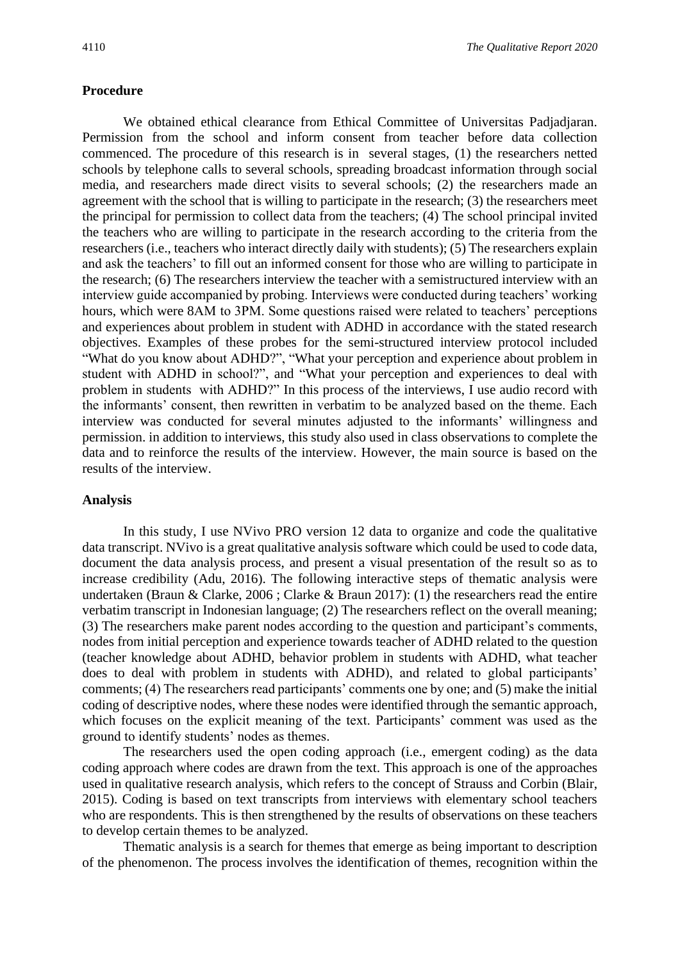#### **Procedure**

We obtained ethical clearance from Ethical Committee of Universitas Padjadjaran. Permission from the school and inform consent from teacher before data collection commenced. The procedure of this research is in several stages, (1) the researchers netted schools by telephone calls to several schools, spreading broadcast information through social media, and researchers made direct visits to several schools; (2) the researchers made an agreement with the school that is willing to participate in the research; (3) the researchers meet the principal for permission to collect data from the teachers; (4) The school principal invited the teachers who are willing to participate in the research according to the criteria from the researchers (i.e., teachers who interact directly daily with students); (5) The researchers explain and ask the teachers' to fill out an informed consent for those who are willing to participate in the research; (6) The researchers interview the teacher with a semistructured interview with an interview guide accompanied by probing. Interviews were conducted during teachers' working hours, which were 8AM to 3PM. Some questions raised were related to teachers' perceptions and experiences about problem in student with ADHD in accordance with the stated research objectives. Examples of these probes for the semi-structured interview protocol included "What do you know about ADHD?", "What your perception and experience about problem in student with ADHD in school?", and "What your perception and experiences to deal with problem in students with ADHD?" In this process of the interviews, I use audio record with the informants' consent, then rewritten in verbatim to be analyzed based on the theme. Each interview was conducted for several minutes adjusted to the informants' willingness and permission. in addition to interviews, this study also used in class observations to complete the data and to reinforce the results of the interview. However, the main source is based on the results of the interview.

### **Analysis**

In this study, I use NVivo PRO version 12 data to organize and code the qualitative data transcript. NVivo is a great qualitative analysis software which could be used to code data, document the data analysis process, and present a visual presentation of the result so as to increase credibility (Adu, 2016). The following interactive steps of thematic analysis were undertaken (Braun & Clarke, 2006 ; Clarke & Braun 2017): (1) the researchers read the entire verbatim transcript in Indonesian language; (2) The researchers reflect on the overall meaning; (3) The researchers make parent nodes according to the question and participant's comments, nodes from initial perception and experience towards teacher of ADHD related to the question (teacher knowledge about ADHD, behavior problem in students with ADHD, what teacher does to deal with problem in students with ADHD), and related to global participants' comments; (4) The researchers read participants' comments one by one; and (5) make the initial coding of descriptive nodes, where these nodes were identified through the semantic approach, which focuses on the explicit meaning of the text. Participants' comment was used as the ground to identify students' nodes as themes.

The researchers used the open coding approach (i.e., emergent coding) as the data coding approach where codes are drawn from the text. This approach is one of the approaches used in qualitative research analysis, which refers to the concept of Strauss and Corbin (Blair, 2015). Coding is based on text transcripts from interviews with elementary school teachers who are respondents. This is then strengthened by the results of observations on these teachers to develop certain themes to be analyzed.

Thematic analysis is a search for themes that emerge as being important to description of the phenomenon. The process involves the identification of themes, recognition within the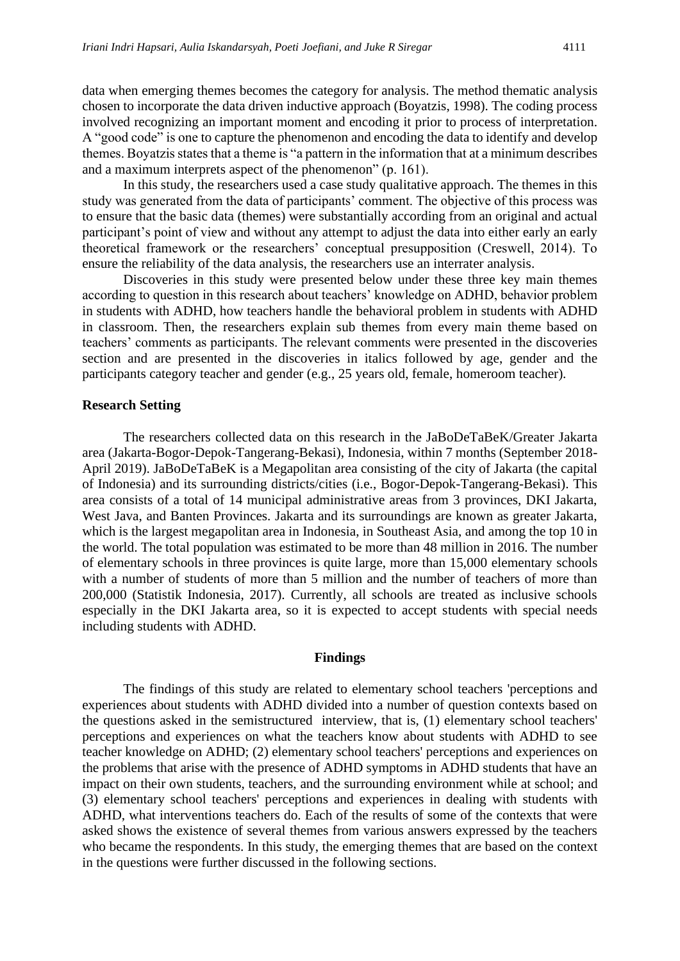data when emerging themes becomes the category for analysis. The method thematic analysis chosen to incorporate the data driven inductive approach (Boyatzis, 1998). The coding process involved recognizing an important moment and encoding it prior to process of interpretation. A "good code" is one to capture the phenomenon and encoding the data to identify and develop themes. Boyatzis states that a theme is "a pattern in the information that at a minimum describes and a maximum interprets aspect of the phenomenon" (p. 161).

In this study, the researchers used a case study qualitative approach. The themes in this study was generated from the data of participants' comment. The objective of this process was to ensure that the basic data (themes) were substantially according from an original and actual participant's point of view and without any attempt to adjust the data into either early an early theoretical framework or the researchers' conceptual presupposition (Creswell, 2014). To ensure the reliability of the data analysis, the researchers use an interrater analysis.

Discoveries in this study were presented below under these three key main themes according to question in this research about teachers' knowledge on ADHD, behavior problem in students with ADHD, how teachers handle the behavioral problem in students with ADHD in classroom. Then, the researchers explain sub themes from every main theme based on teachers' comments as participants. The relevant comments were presented in the discoveries section and are presented in the discoveries in italics followed by age, gender and the participants category teacher and gender (e.g., 25 years old, female, homeroom teacher)*.*

#### **Research Setting**

The researchers collected data on this research in the JaBoDeTaBeK/Greater Jakarta area (Jakarta-Bogor-Depok-Tangerang-Bekasi), Indonesia, within 7 months (September 2018- April 2019). JaBoDeTaBeK is a Megapolitan area consisting of the city of Jakarta (the capital of Indonesia) and its surrounding districts/cities (i.e., Bogor-Depok-Tangerang-Bekasi). This area consists of a total of 14 municipal administrative areas from 3 provinces, DKI Jakarta, West Java, and Banten Provinces. Jakarta and its surroundings are known as greater Jakarta, which is the largest megapolitan area in Indonesia, in Southeast Asia, and among the top 10 in the world. The total population was estimated to be more than 48 million in 2016. The number of elementary schools in three provinces is quite large, more than 15,000 elementary schools with a number of students of more than 5 million and the number of teachers of more than 200,000 (Statistik Indonesia, 2017). Currently, all schools are treated as inclusive schools especially in the DKI Jakarta area, so it is expected to accept students with special needs including students with ADHD.

#### **Findings**

The findings of this study are related to elementary school teachers 'perceptions and experiences about students with ADHD divided into a number of question contexts based on the questions asked in the semistructured interview, that is, (1) elementary school teachers' perceptions and experiences on what the teachers know about students with ADHD to see teacher knowledge on ADHD; (2) elementary school teachers' perceptions and experiences on the problems that arise with the presence of ADHD symptoms in ADHD students that have an impact on their own students, teachers, and the surrounding environment while at school; and (3) elementary school teachers' perceptions and experiences in dealing with students with ADHD, what interventions teachers do. Each of the results of some of the contexts that were asked shows the existence of several themes from various answers expressed by the teachers who became the respondents. In this study, the emerging themes that are based on the context in the questions were further discussed in the following sections.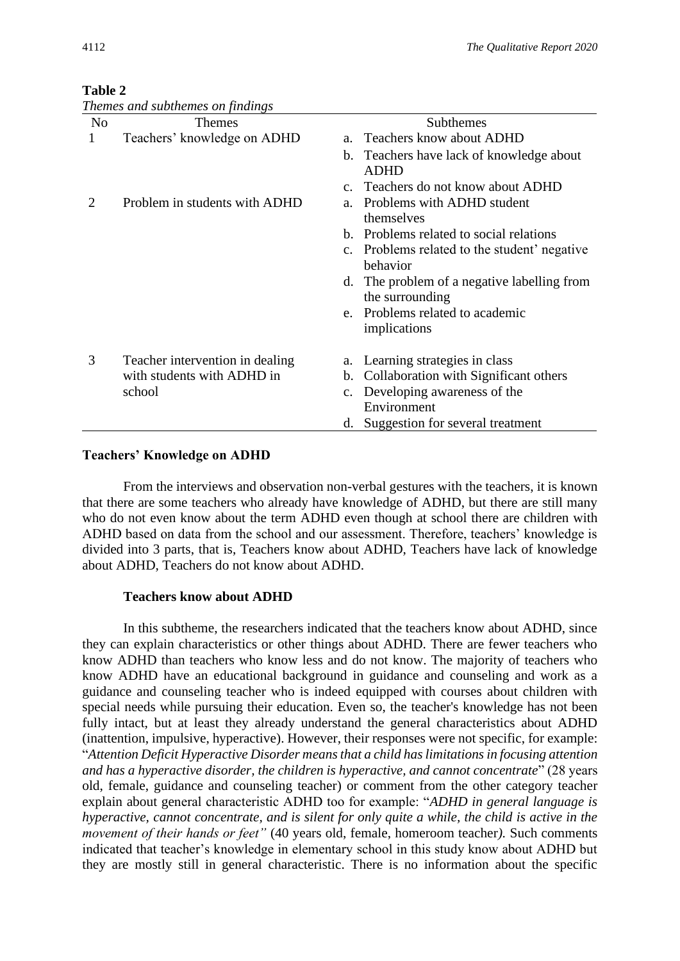## **Table 2**

|                | Themes and subthemes on findings |                                                                |  |
|----------------|----------------------------------|----------------------------------------------------------------|--|
| N <sub>0</sub> | <b>Themes</b>                    | Subthemes                                                      |  |
| 1              | Teachers' knowledge on ADHD      | a. Teachers know about ADHD                                    |  |
|                |                                  | b. Teachers have lack of knowledge about<br><b>ADHD</b>        |  |
|                |                                  | c. Teachers do not know about ADHD                             |  |
| 2              | Problem in students with ADHD    | Problems with ADHD student<br>$a_{-}$<br>themselves            |  |
|                |                                  | b. Problems related to social relations                        |  |
|                |                                  | c. Problems related to the student' negative<br>behavior       |  |
|                |                                  | d. The problem of a negative labelling from<br>the surrounding |  |
|                |                                  | e. Problems related to academic                                |  |
|                |                                  | implications                                                   |  |
| 3              | Teacher intervention in dealing  | a. Learning strategies in class                                |  |
|                | with students with ADHD in       | Collaboration with Significant others<br>b.                    |  |
|                | school                           | c. Developing awareness of the                                 |  |
|                |                                  | Environment                                                    |  |
|                |                                  | d. Suggestion for several treatment                            |  |

## **Teachers' Knowledge on ADHD**

From the interviews and observation non-verbal gestures with the teachers, it is known that there are some teachers who already have knowledge of ADHD, but there are still many who do not even know about the term ADHD even though at school there are children with ADHD based on data from the school and our assessment. Therefore, teachers' knowledge is divided into 3 parts, that is, Teachers know about ADHD, Teachers have lack of knowledge about ADHD, Teachers do not know about ADHD.

## **Teachers know about ADHD**

In this subtheme, the researchers indicated that the teachers know about ADHD, since they can explain characteristics or other things about ADHD. There are fewer teachers who know ADHD than teachers who know less and do not know. The majority of teachers who know ADHD have an educational background in guidance and counseling and work as a guidance and counseling teacher who is indeed equipped with courses about children with special needs while pursuing their education. Even so, the teacher's knowledge has not been fully intact, but at least they already understand the general characteristics about ADHD (inattention, impulsive, hyperactive). However, their responses were not specific, for example: "*Attention Deficit Hyperactive Disorder means that a child has limitations in focusing attention and has a hyperactive disorder, the children is hyperactive, and cannot concentrate*" (28 years old, female, guidance and counseling teacher) or comment from the other category teacher explain about general characteristic ADHD too for example: "*ADHD in general language is hyperactive, cannot concentrate, and is silent for only quite a while, the child is active in the movement of their hands or feet"* (40 years old, female, homeroom teacher*).* Such comments indicated that teacher's knowledge in elementary school in this study know about ADHD but they are mostly still in general characteristic. There is no information about the specific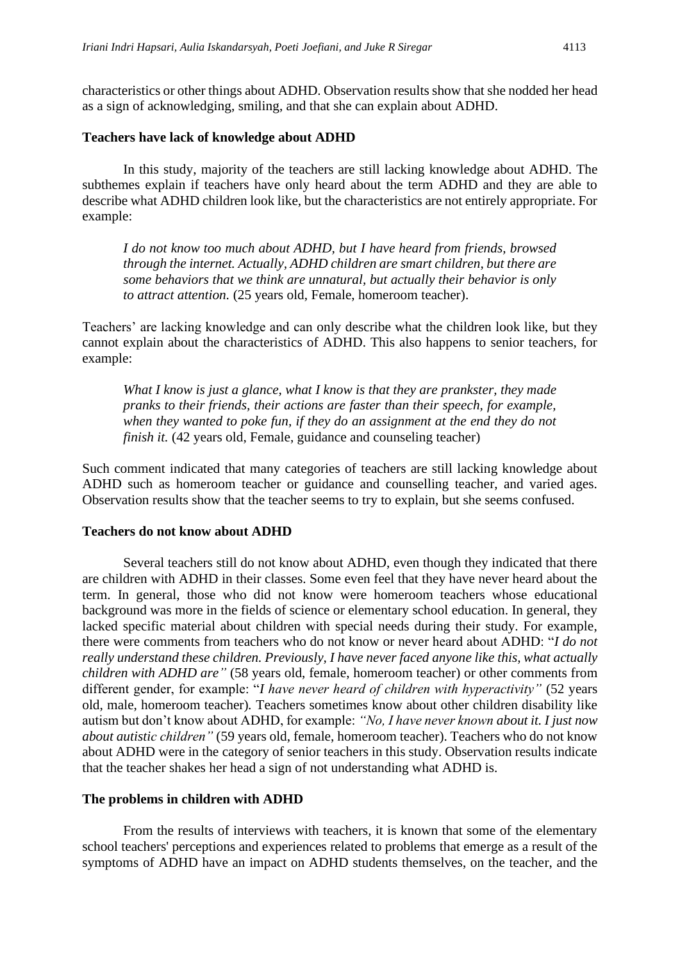characteristics or other things about ADHD. Observation results show that she nodded her head as a sign of acknowledging, smiling, and that she can explain about ADHD.

#### **Teachers have lack of knowledge about ADHD**

In this study, majority of the teachers are still lacking knowledge about ADHD. The subthemes explain if teachers have only heard about the term ADHD and they are able to describe what ADHD children look like, but the characteristics are not entirely appropriate. For example:

*I do not know too much about ADHD, but I have heard from friends, browsed through the internet. Actually, ADHD children are smart children, but there are some behaviors that we think are unnatural, but actually their behavior is only to attract attention.* (25 years old, Female, homeroom teacher).

Teachers' are lacking knowledge and can only describe what the children look like, but they cannot explain about the characteristics of ADHD. This also happens to senior teachers, for example:

*What I know is just a glance, what I know is that they are prankster, they made pranks to their friends, their actions are faster than their speech, for example, when they wanted to poke fun, if they do an assignment at the end they do not finish it.* (42 years old, Female, guidance and counseling teacher)

Such comment indicated that many categories of teachers are still lacking knowledge about ADHD such as homeroom teacher or guidance and counselling teacher, and varied ages. Observation results show that the teacher seems to try to explain, but she seems confused.

#### **Teachers do not know about ADHD**

Several teachers still do not know about ADHD, even though they indicated that there are children with ADHD in their classes. Some even feel that they have never heard about the term. In general, those who did not know were homeroom teachers whose educational background was more in the fields of science or elementary school education. In general, they lacked specific material about children with special needs during their study. For example, there were comments from teachers who do not know or never heard about ADHD: "*I do not really understand these children. Previously, I have never faced anyone like this, what actually children with ADHD are"* (58 years old, female, homeroom teacher) or other comments from different gender, for example: "*I have never heard of children with hyperactivity"* (52 years old, male, homeroom teacher)*.* Teachers sometimes know about other children disability like autism but don't know about ADHD, for example: *"No, I have never known about it. I just now about autistic children"* (59 years old, female, homeroom teacher). Teachers who do not know about ADHD were in the category of senior teachers in this study. Observation results indicate that the teacher shakes her head a sign of not understanding what ADHD is.

## **The problems in children with ADHD**

From the results of interviews with teachers, it is known that some of the elementary school teachers' perceptions and experiences related to problems that emerge as a result of the symptoms of ADHD have an impact on ADHD students themselves, on the teacher, and the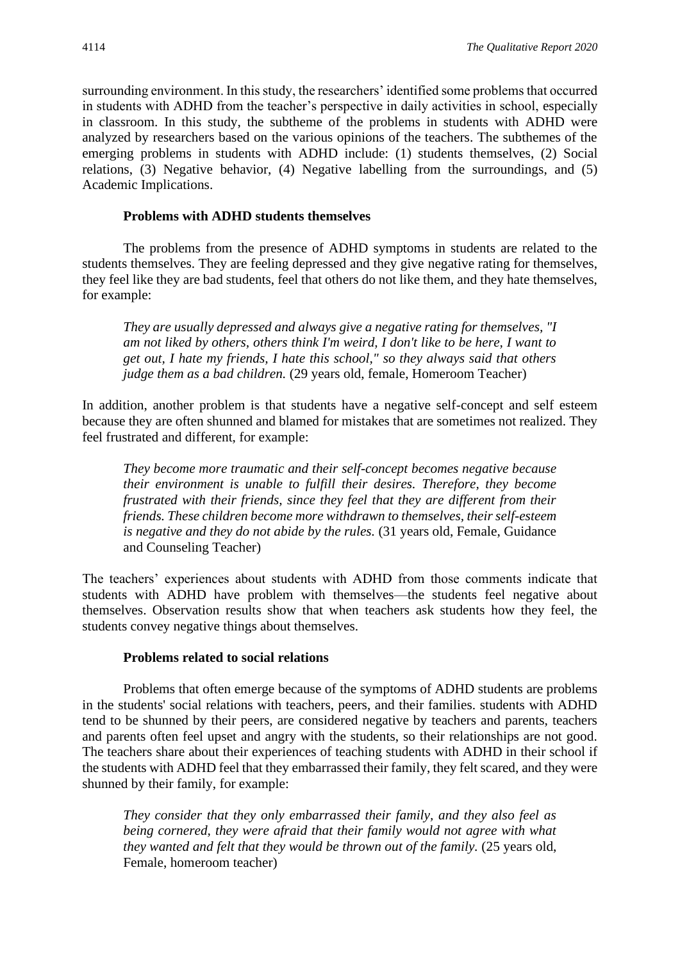surrounding environment. In this study, the researchers' identified some problems that occurred in students with ADHD from the teacher's perspective in daily activities in school, especially in classroom. In this study, the subtheme of the problems in students with ADHD were analyzed by researchers based on the various opinions of the teachers. The subthemes of the emerging problems in students with ADHD include: (1) students themselves, (2) Social relations, (3) Negative behavior, (4) Negative labelling from the surroundings, and (5) Academic Implications.

## **Problems with ADHD students themselves**

The problems from the presence of ADHD symptoms in students are related to the students themselves. They are feeling depressed and they give negative rating for themselves, they feel like they are bad students, feel that others do not like them, and they hate themselves, for example:

*They are usually depressed and always give a negative rating for themselves, "I am not liked by others, others think I'm weird, I don't like to be here, I want to get out, I hate my friends, I hate this school," so they always said that others judge them as a bad children.* (29 years old, female, Homeroom Teacher)

In addition, another problem is that students have a negative self-concept and self esteem because they are often shunned and blamed for mistakes that are sometimes not realized. They feel frustrated and different, for example:

*They become more traumatic and their self-concept becomes negative because their environment is unable to fulfill their desires. Therefore, they become frustrated with their friends, since they feel that they are different from their friends. These children become more withdrawn to themselves, their self-esteem is negative and they do not abide by the rules.* (31 years old, Female, Guidance and Counseling Teacher)

The teachers' experiences about students with ADHD from those comments indicate that students with ADHD have problem with themselves—the students feel negative about themselves. Observation results show that when teachers ask students how they feel, the students convey negative things about themselves.

## **Problems related to social relations**

Problems that often emerge because of the symptoms of ADHD students are problems in the students' social relations with teachers, peers, and their families. students with ADHD tend to be shunned by their peers, are considered negative by teachers and parents, teachers and parents often feel upset and angry with the students, so their relationships are not good. The teachers share about their experiences of teaching students with ADHD in their school if the students with ADHD feel that they embarrassed their family, they felt scared, and they were shunned by their family, for example:

*They consider that they only embarrassed their family, and they also feel as being cornered, they were afraid that their family would not agree with what they wanted and felt that they would be thrown out of the family.* (25 years old, Female, homeroom teacher)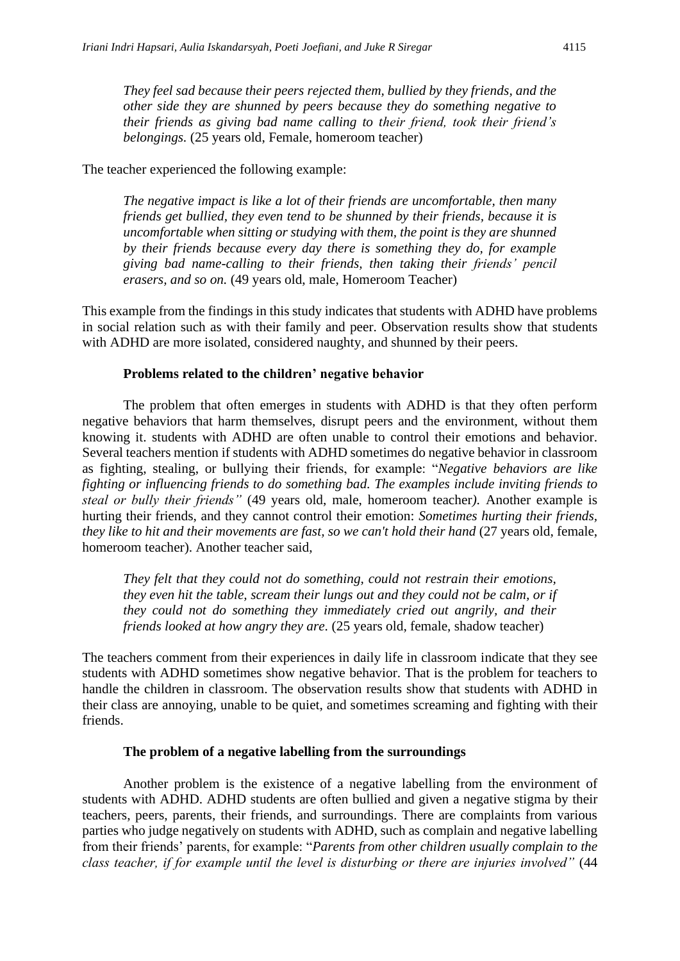*They feel sad because their peers rejected them, bullied by they friends, and the other side they are shunned by peers because they do something negative to their friends as giving bad name calling to their friend, took their friend's belongings.* (25 years old, Female, homeroom teacher)

## The teacher experienced the following example:

*The negative impact is like a lot of their friends are uncomfortable, then many friends get bullied, they even tend to be shunned by their friends, because it is uncomfortable when sitting or studying with them, the point is they are shunned by their friends because every day there is something they do, for example giving bad name-calling to their friends, then taking their friends' pencil erasers, and so on.* (49 years old, male, Homeroom Teacher)

This example from the findings in this study indicates that students with ADHD have problems in social relation such as with their family and peer. Observation results show that students with ADHD are more isolated, considered naughty, and shunned by their peers.

## **Problems related to the children' negative behavior**

The problem that often emerges in students with ADHD is that they often perform negative behaviors that harm themselves, disrupt peers and the environment, without them knowing it. students with ADHD are often unable to control their emotions and behavior. Several teachers mention if students with ADHD sometimes do negative behavior in classroom as fighting, stealing, or bullying their friends, for example: "*Negative behaviors are like fighting or influencing friends to do something bad. The examples include inviting friends to steal or bully their friends"* (49 years old, male, homeroom teacher*).* Another example is hurting their friends, and they cannot control their emotion: *Sometimes hurting their friends, they like to hit and their movements are fast, so we can't hold their hand (27 years old, female, they* homeroom teacher). Another teacher said,

*They felt that they could not do something, could not restrain their emotions, they even hit the table, scream their lungs out and they could not be calm, or if they could not do something they immediately cried out angrily, and their friends looked at how angry they are.* (25 years old, female, shadow teacher)

The teachers comment from their experiences in daily life in classroom indicate that they see students with ADHD sometimes show negative behavior. That is the problem for teachers to handle the children in classroom. The observation results show that students with ADHD in their class are annoying, unable to be quiet, and sometimes screaming and fighting with their friends.

## **The problem of a negative labelling from the surroundings**

Another problem is the existence of a negative labelling from the environment of students with ADHD. ADHD students are often bullied and given a negative stigma by their teachers, peers, parents, their friends, and surroundings. There are complaints from various parties who judge negatively on students with ADHD, such as complain and negative labelling from their friends' parents, for example: "*Parents from other children usually complain to the class teacher, if for example until the level is disturbing or there are injuries involved"* (44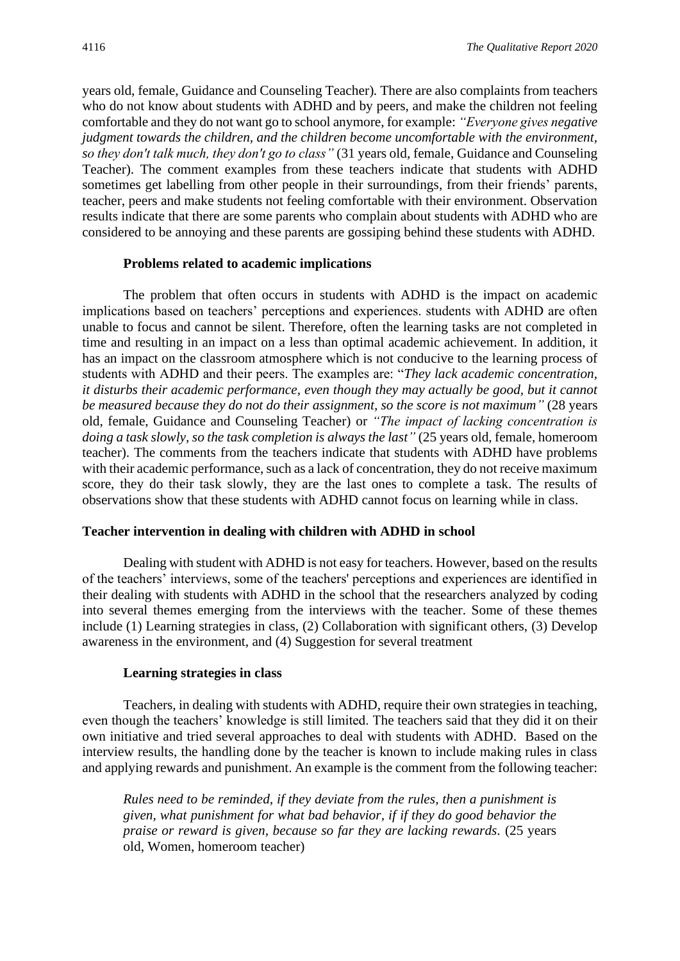years old, female, Guidance and Counseling Teacher)*.* There are also complaints from teachers who do not know about students with ADHD and by peers, and make the children not feeling comfortable and they do not want go to school anymore, for example: *"Everyone gives negative judgment towards the children, and the children become uncomfortable with the environment, so they don't talk much, they don't go to class"* (31 years old, female, Guidance and Counseling Teacher). The comment examples from these teachers indicate that students with ADHD sometimes get labelling from other people in their surroundings, from their friends' parents, teacher, peers and make students not feeling comfortable with their environment. Observation results indicate that there are some parents who complain about students with ADHD who are considered to be annoying and these parents are gossiping behind these students with ADHD.

#### **Problems related to academic implications**

The problem that often occurs in students with ADHD is the impact on academic implications based on teachers' perceptions and experiences. students with ADHD are often unable to focus and cannot be silent. Therefore, often the learning tasks are not completed in time and resulting in an impact on a less than optimal academic achievement. In addition, it has an impact on the classroom atmosphere which is not conducive to the learning process of students with ADHD and their peers. The examples are: "*They lack academic concentration, it disturbs their academic performance, even though they may actually be good, but it cannot be measured because they do not do their assignment, so the score is not maximum"* (28 years old, female, Guidance and Counseling Teacher) or *"The impact of lacking concentration is doing a task slowly, so the task completion is always the last"* (25 years old, female, homeroom teacher). The comments from the teachers indicate that students with ADHD have problems with their academic performance, such as a lack of concentration, they do not receive maximum score, they do their task slowly, they are the last ones to complete a task. The results of observations show that these students with ADHD cannot focus on learning while in class.

#### **Teacher intervention in dealing with children with ADHD in school**

Dealing with student with ADHD is not easy for teachers. However, based on the results of the teachers' interviews, some of the teachers' perceptions and experiences are identified in their dealing with students with ADHD in the school that the researchers analyzed by coding into several themes emerging from the interviews with the teacher. Some of these themes include (1) Learning strategies in class, (2) Collaboration with significant others, (3) Develop awareness in the environment, and (4) Suggestion for several treatment

#### **Learning strategies in class**

Teachers, in dealing with students with ADHD, require their own strategies in teaching, even though the teachers' knowledge is still limited. The teachers said that they did it on their own initiative and tried several approaches to deal with students with ADHD. Based on the interview results, the handling done by the teacher is known to include making rules in class and applying rewards and punishment. An example is the comment from the following teacher:

*Rules need to be reminded, if they deviate from the rules, then a punishment is given, what punishment for what bad behavior, if if they do good behavior the praise or reward is given, because so far they are lacking rewards.* (25 years old, Women, homeroom teacher)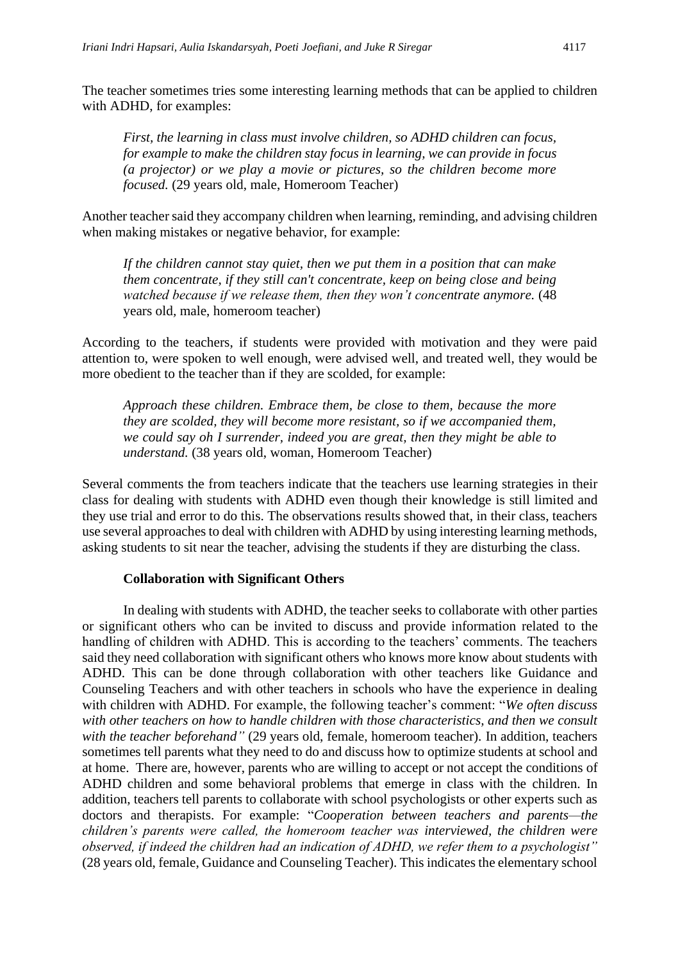*First, the learning in class must involve children, so ADHD children can focus, for example to make the children stay focus in learning, we can provide in focus (a projector) or we play a movie or pictures, so the children become more focused.* (29 years old, male, Homeroom Teacher)

Another teacher said they accompany children when learning, reminding, and advising children when making mistakes or negative behavior, for example:

*If the children cannot stay quiet, then we put them in a position that can make them concentrate, if they still can't concentrate, keep on being close and being watched because if we release them, then they won't concentrate anymore.* (48 years old*,* male, homeroom teacher)

According to the teachers, if students were provided with motivation and they were paid attention to, were spoken to well enough, were advised well, and treated well, they would be more obedient to the teacher than if they are scolded, for example:

*Approach these children. Embrace them, be close to them, because the more they are scolded, they will become more resistant, so if we accompanied them, we could say oh I surrender, indeed you are great, then they might be able to understand.* (38 years old, woman, Homeroom Teacher)

Several comments the from teachers indicate that the teachers use learning strategies in their class for dealing with students with ADHD even though their knowledge is still limited and they use trial and error to do this. The observations results showed that, in their class, teachers use several approaches to deal with children with ADHD by using interesting learning methods, asking students to sit near the teacher, advising the students if they are disturbing the class.

## **Collaboration with Significant Others**

In dealing with students with ADHD, the teacher seeks to collaborate with other parties or significant others who can be invited to discuss and provide information related to the handling of children with ADHD. This is according to the teachers' comments. The teachers said they need collaboration with significant others who knows more know about students with ADHD. This can be done through collaboration with other teachers like Guidance and Counseling Teachers and with other teachers in schools who have the experience in dealing with children with ADHD. For example, the following teacher's comment: "*We often discuss with other teachers on how to handle children with those characteristics, and then we consult with the teacher beforehand"* (29 years old, female, homeroom teacher). In addition, teachers sometimes tell parents what they need to do and discuss how to optimize students at school and at home. There are, however, parents who are willing to accept or not accept the conditions of ADHD children and some behavioral problems that emerge in class with the children. In addition, teachers tell parents to collaborate with school psychologists or other experts such as doctors and therapists. For example: "*Cooperation between teachers and parents—the children's parents were called, the homeroom teacher was interviewed, the children were observed, if indeed the children had an indication of ADHD, we refer them to a psychologist"*  (28 years old, female, Guidance and Counseling Teacher). This indicates the elementary school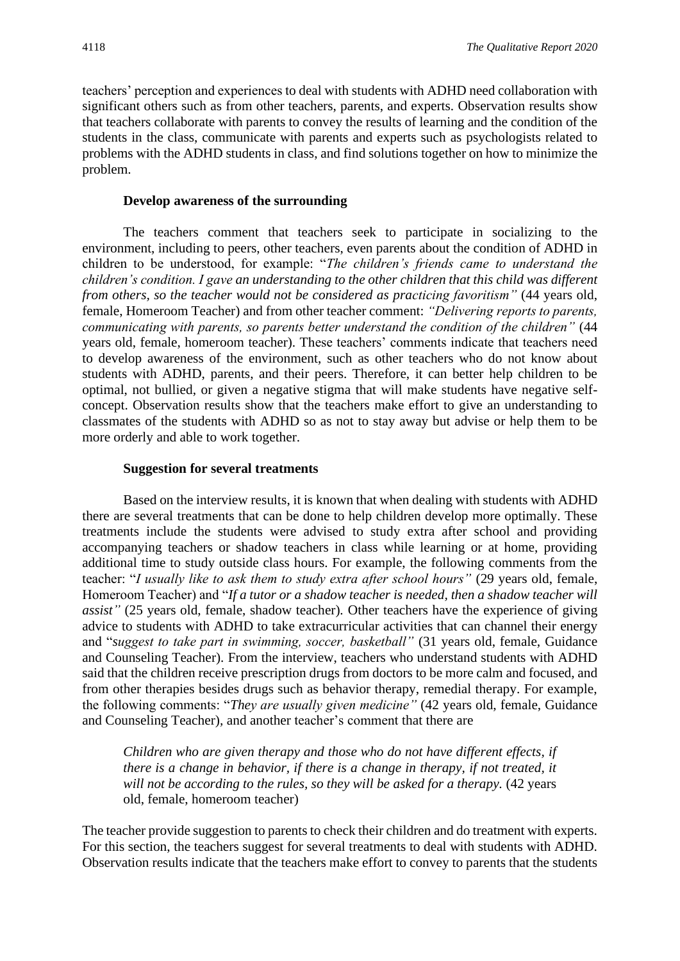teachers' perception and experiences to deal with students with ADHD need collaboration with significant others such as from other teachers, parents, and experts. Observation results show that teachers collaborate with parents to convey the results of learning and the condition of the students in the class, communicate with parents and experts such as psychologists related to problems with the ADHD students in class, and find solutions together on how to minimize the problem.

#### **Develop awareness of the surrounding**

The teachers comment that teachers seek to participate in socializing to the environment, including to peers, other teachers, even parents about the condition of ADHD in children to be understood, for example: "*The children's friends came to understand the children's condition. I gave an understanding to the other children that this child was different from others, so the teacher would not be considered as practicing favoritism*" (44 years old, female, Homeroom Teacher) and from other teacher comment: *"Delivering reports to parents, communicating with parents, so parents better understand the condition of the children"* (44 years old, female, homeroom teacher). These teachers' comments indicate that teachers need to develop awareness of the environment, such as other teachers who do not know about students with ADHD, parents, and their peers. Therefore, it can better help children to be optimal, not bullied, or given a negative stigma that will make students have negative selfconcept. Observation results show that the teachers make effort to give an understanding to classmates of the students with ADHD so as not to stay away but advise or help them to be more orderly and able to work together.

#### **Suggestion for several treatments**

Based on the interview results, it is known that when dealing with students with ADHD there are several treatments that can be done to help children develop more optimally. These treatments include the students were advised to study extra after school and providing accompanying teachers or shadow teachers in class while learning or at home, providing additional time to study outside class hours. For example, the following comments from the teacher: "*I usually like to ask them to study extra after school hours"* (29 years old, female, Homeroom Teacher) and "*If a tutor or a shadow teacher is needed, then a shadow teacher will assist"* (25 years old, female, shadow teacher)*.* Other teachers have the experience of giving advice to students with ADHD to take extracurricular activities that can channel their energy and "*suggest to take part in swimming, soccer, basketball"* (31 years old, female, Guidance and Counseling Teacher)*.* From the interview, teachers who understand students with ADHD said that the children receive prescription drugs from doctors to be more calm and focused, and from other therapies besides drugs such as behavior therapy, remedial therapy. For example, the following comments: "*They are usually given medicine"* (42 years old, female, Guidance and Counseling Teacher)*,* and another teacher's comment that there are

*Children who are given therapy and those who do not have different effects, if there is a change in behavior, if there is a change in therapy, if not treated, it will not be according to the rules, so they will be asked for a therapy.* (42 years old, female, homeroom teacher)

The teacher provide suggestion to parents to check their children and do treatment with experts. For this section, the teachers suggest for several treatments to deal with students with ADHD. Observation results indicate that the teachers make effort to convey to parents that the students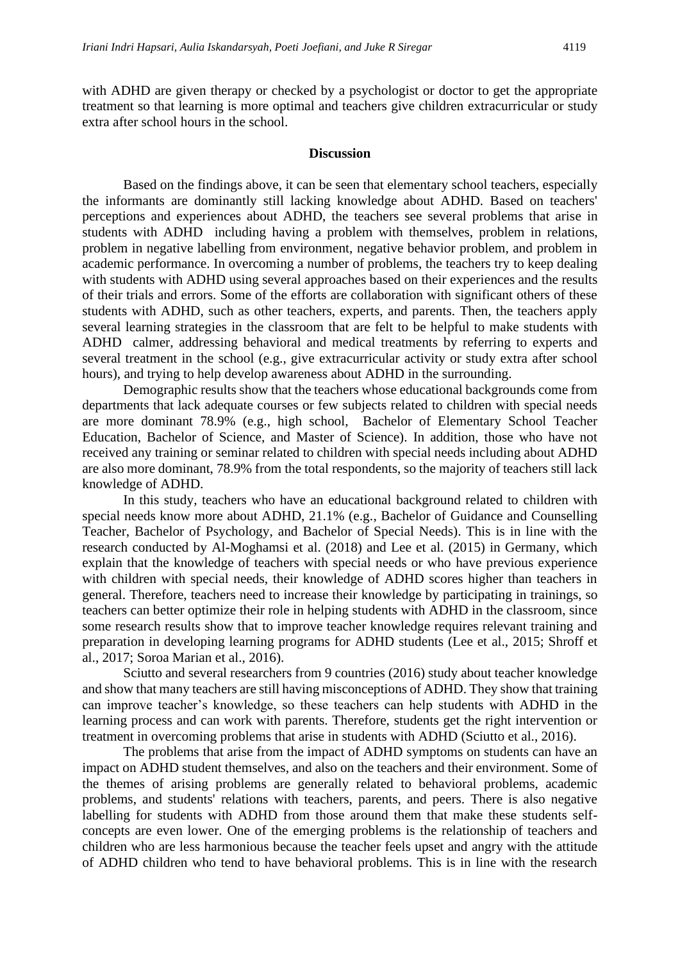with ADHD are given therapy or checked by a psychologist or doctor to get the appropriate treatment so that learning is more optimal and teachers give children extracurricular or study extra after school hours in the school.

#### **Discussion**

Based on the findings above, it can be seen that elementary school teachers, especially the informants are dominantly still lacking knowledge about ADHD. Based on teachers' perceptions and experiences about ADHD, the teachers see several problems that arise in students with ADHD including having a problem with themselves, problem in relations, problem in negative labelling from environment, negative behavior problem, and problem in academic performance. In overcoming a number of problems, the teachers try to keep dealing with students with ADHD using several approaches based on their experiences and the results of their trials and errors. Some of the efforts are collaboration with significant others of these students with ADHD, such as other teachers, experts, and parents. Then, the teachers apply several learning strategies in the classroom that are felt to be helpful to make students with ADHD calmer, addressing behavioral and medical treatments by referring to experts and several treatment in the school (e.g., give extracurricular activity or study extra after school hours), and trying to help develop awareness about ADHD in the surrounding.

Demographic results show that the teachers whose educational backgrounds come from departments that lack adequate courses or few subjects related to children with special needs are more dominant 78.9% (e.g., high school, Bachelor of Elementary School Teacher Education, Bachelor of Science, and Master of Science). In addition, those who have not received any training or seminar related to children with special needs including about ADHD are also more dominant, 78.9% from the total respondents, so the majority of teachers still lack knowledge of ADHD.

In this study, teachers who have an educational background related to children with special needs know more about ADHD, 21.1% (e.g., Bachelor of Guidance and Counselling Teacher, Bachelor of Psychology, and Bachelor of Special Needs). This is in line with the research conducted by Al-Moghamsi et al. (2018) and Lee et al. (2015) in Germany, which explain that the knowledge of teachers with special needs or who have previous experience with children with special needs, their knowledge of ADHD scores higher than teachers in general. Therefore, teachers need to increase their knowledge by participating in trainings, so teachers can better optimize their role in helping students with ADHD in the classroom, since some research results show that to improve teacher knowledge requires relevant training and preparation in developing learning programs for ADHD students (Lee et al., 2015; Shroff et al., 2017; Soroa Marian et al., 2016).

Sciutto and several researchers from 9 countries (2016) study about teacher knowledge and show that many teachers are still having misconceptions of ADHD. They show that training can improve teacher's knowledge, so these teachers can help students with ADHD in the learning process and can work with parents. Therefore, students get the right intervention or treatment in overcoming problems that arise in students with ADHD (Sciutto et al., 2016).

The problems that arise from the impact of ADHD symptoms on students can have an impact on ADHD student themselves, and also on the teachers and their environment. Some of the themes of arising problems are generally related to behavioral problems, academic problems, and students' relations with teachers, parents, and peers. There is also negative labelling for students with ADHD from those around them that make these students selfconcepts are even lower. One of the emerging problems is the relationship of teachers and children who are less harmonious because the teacher feels upset and angry with the attitude of ADHD children who tend to have behavioral problems. This is in line with the research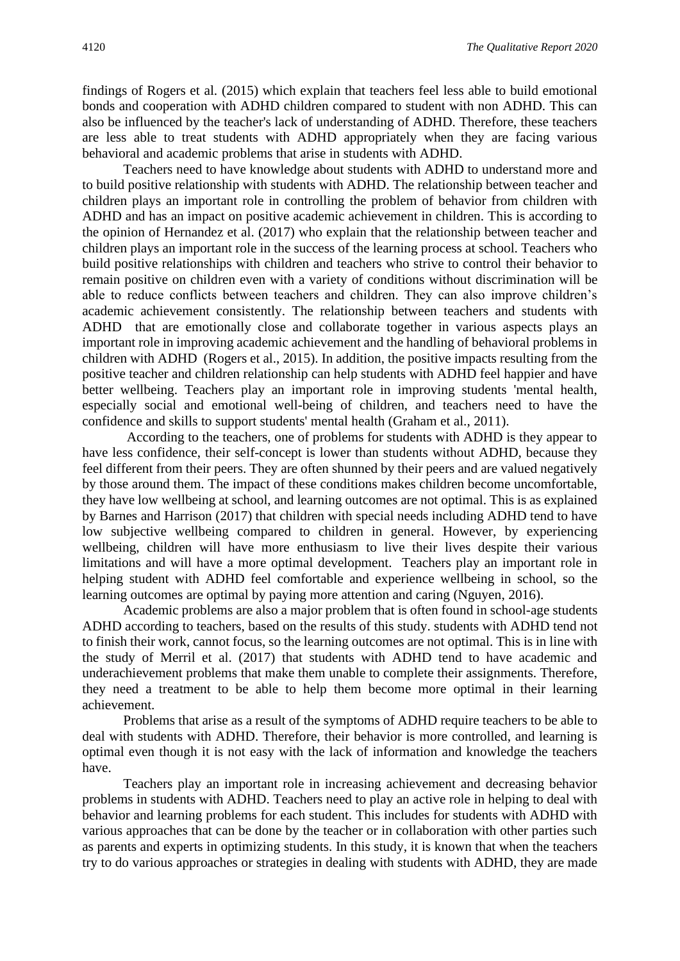findings of Rogers et al. (2015) which explain that teachers feel less able to build emotional bonds and cooperation with ADHD children compared to student with non ADHD. This can also be influenced by the teacher's lack of understanding of ADHD. Therefore, these teachers are less able to treat students with ADHD appropriately when they are facing various behavioral and academic problems that arise in students with ADHD.

Teachers need to have knowledge about students with ADHD to understand more and to build positive relationship with students with ADHD. The relationship between teacher and children plays an important role in controlling the problem of behavior from children with ADHD and has an impact on positive academic achievement in children. This is according to the opinion of Hernandez et al. (2017) who explain that the relationship between teacher and children plays an important role in the success of the learning process at school. Teachers who build positive relationships with children and teachers who strive to control their behavior to remain positive on children even with a variety of conditions without discrimination will be able to reduce conflicts between teachers and children. They can also improve children's academic achievement consistently. The relationship between teachers and students with ADHD that are emotionally close and collaborate together in various aspects plays an important role in improving academic achievement and the handling of behavioral problems in children with ADHD (Rogers et al., 2015). In addition, the positive impacts resulting from the positive teacher and children relationship can help students with ADHD feel happier and have better wellbeing. Teachers play an important role in improving students 'mental health, especially social and emotional well-being of children, and teachers need to have the confidence and skills to support students' mental health (Graham et al., 2011).

According to the teachers, one of problems for students with ADHD is they appear to have less confidence, their self-concept is lower than students without ADHD, because they feel different from their peers. They are often shunned by their peers and are valued negatively by those around them. The impact of these conditions makes children become uncomfortable, they have low wellbeing at school, and learning outcomes are not optimal. This is as explained by Barnes and Harrison (2017) that children with special needs including ADHD tend to have low subjective wellbeing compared to children in general. However, by experiencing wellbeing, children will have more enthusiasm to live their lives despite their various limitations and will have a more optimal development. Teachers play an important role in helping student with ADHD feel comfortable and experience wellbeing in school, so the learning outcomes are optimal by paying more attention and caring (Nguyen, 2016).

Academic problems are also a major problem that is often found in school-age students ADHD according to teachers, based on the results of this study. students with ADHD tend not to finish their work, cannot focus, so the learning outcomes are not optimal. This is in line with the study of Merril et al. (2017) that students with ADHD tend to have academic and underachievement problems that make them unable to complete their assignments. Therefore, they need a treatment to be able to help them become more optimal in their learning achievement.

Problems that arise as a result of the symptoms of ADHD require teachers to be able to deal with students with ADHD. Therefore, their behavior is more controlled, and learning is optimal even though it is not easy with the lack of information and knowledge the teachers have.

Teachers play an important role in increasing achievement and decreasing behavior problems in students with ADHD. Teachers need to play an active role in helping to deal with behavior and learning problems for each student. This includes for students with ADHD with various approaches that can be done by the teacher or in collaboration with other parties such as parents and experts in optimizing students. In this study, it is known that when the teachers try to do various approaches or strategies in dealing with students with ADHD, they are made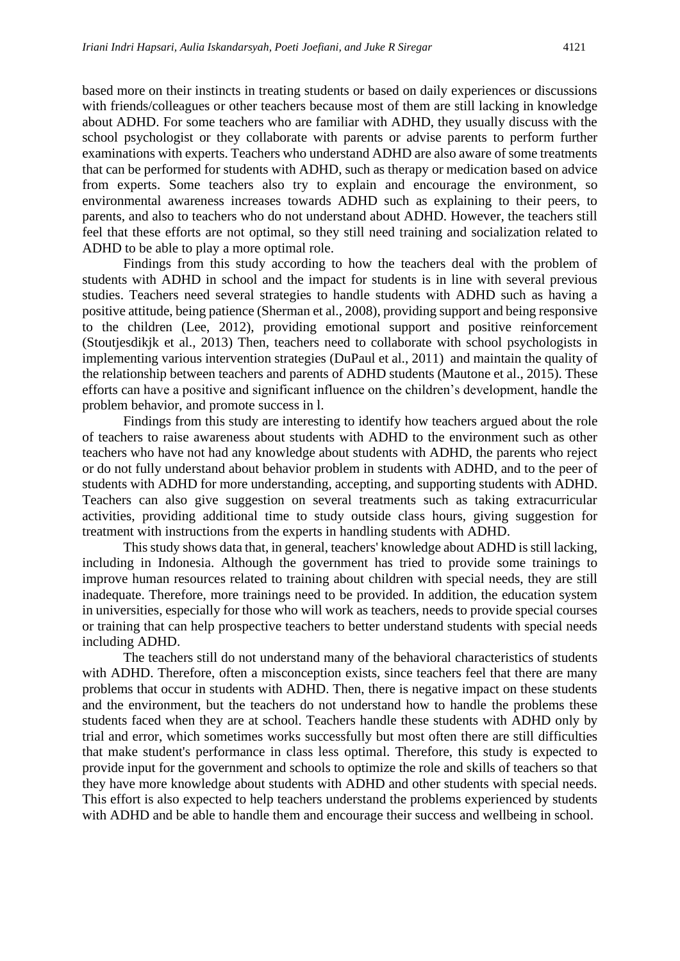based more on their instincts in treating students or based on daily experiences or discussions with friends/colleagues or other teachers because most of them are still lacking in knowledge about ADHD. For some teachers who are familiar with ADHD, they usually discuss with the school psychologist or they collaborate with parents or advise parents to perform further examinations with experts. Teachers who understand ADHD are also aware of some treatments that can be performed for students with ADHD, such as therapy or medication based on advice from experts. Some teachers also try to explain and encourage the environment, so environmental awareness increases towards ADHD such as explaining to their peers, to parents, and also to teachers who do not understand about ADHD. However, the teachers still feel that these efforts are not optimal, so they still need training and socialization related to ADHD to be able to play a more optimal role.

Findings from this study according to how the teachers deal with the problem of students with ADHD in school and the impact for students is in line with several previous studies. Teachers need several strategies to handle students with ADHD such as having a positive attitude, being patience (Sherman et al., 2008), providing support and being responsive to the children (Lee, 2012), providing emotional support and positive reinforcement (Stoutjesdikjk et al., 2013) Then, teachers need to collaborate with school psychologists in implementing various intervention strategies (DuPaul et al., 2011) and maintain the quality of the relationship between teachers and parents of ADHD students (Mautone et al., 2015). These efforts can have a positive and significant influence on the children's development, handle the problem behavior, and promote success in l.

Findings from this study are interesting to identify how teachers argued about the role of teachers to raise awareness about students with ADHD to the environment such as other teachers who have not had any knowledge about students with ADHD, the parents who reject or do not fully understand about behavior problem in students with ADHD, and to the peer of students with ADHD for more understanding, accepting, and supporting students with ADHD. Teachers can also give suggestion on several treatments such as taking extracurricular activities, providing additional time to study outside class hours, giving suggestion for treatment with instructions from the experts in handling students with ADHD.

This study shows data that, in general, teachers' knowledge about ADHD is still lacking, including in Indonesia. Although the government has tried to provide some trainings to improve human resources related to training about children with special needs, they are still inadequate. Therefore, more trainings need to be provided. In addition, the education system in universities, especially for those who will work as teachers, needs to provide special courses or training that can help prospective teachers to better understand students with special needs including ADHD.

The teachers still do not understand many of the behavioral characteristics of students with ADHD. Therefore, often a misconception exists, since teachers feel that there are many problems that occur in students with ADHD. Then, there is negative impact on these students and the environment, but the teachers do not understand how to handle the problems these students faced when they are at school. Teachers handle these students with ADHD only by trial and error, which sometimes works successfully but most often there are still difficulties that make student's performance in class less optimal. Therefore, this study is expected to provide input for the government and schools to optimize the role and skills of teachers so that they have more knowledge about students with ADHD and other students with special needs. This effort is also expected to help teachers understand the problems experienced by students with ADHD and be able to handle them and encourage their success and wellbeing in school.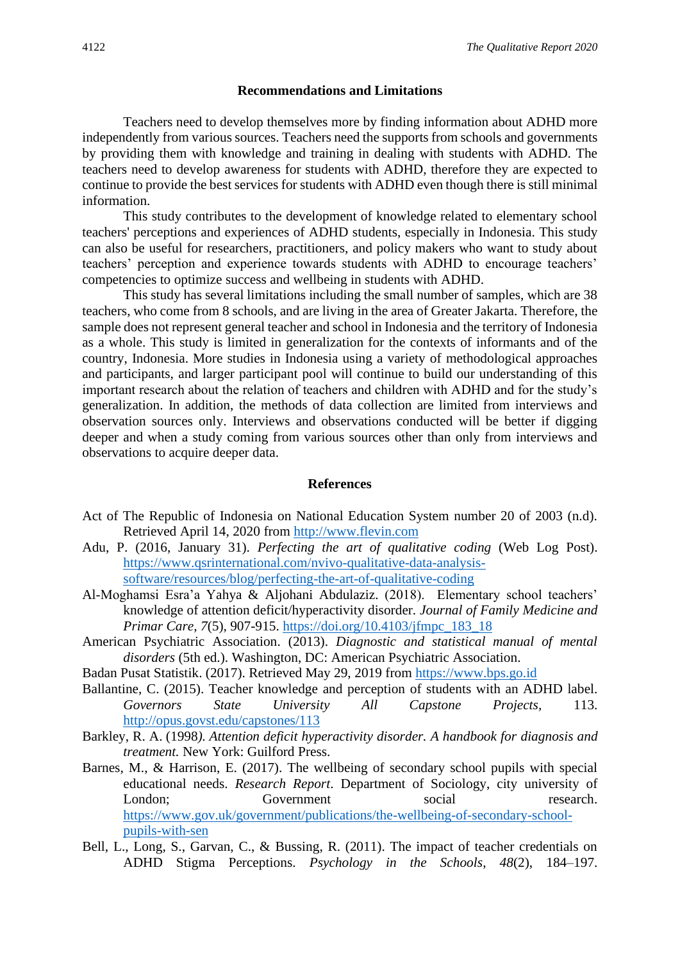#### **Recommendations and Limitations**

Teachers need to develop themselves more by finding information about ADHD more independently from various sources. Teachers need the supports from schools and governments by providing them with knowledge and training in dealing with students with ADHD. The teachers need to develop awareness for students with ADHD, therefore they are expected to continue to provide the best services for students with ADHD even though there is still minimal information.

This study contributes to the development of knowledge related to elementary school teachers' perceptions and experiences of ADHD students, especially in Indonesia. This study can also be useful for researchers, practitioners, and policy makers who want to study about teachers' perception and experience towards students with ADHD to encourage teachers' competencies to optimize success and wellbeing in students with ADHD.

This study has several limitations including the small number of samples, which are 38 teachers, who come from 8 schools, and are living in the area of Greater Jakarta. Therefore, the sample does not represent general teacher and school in Indonesia and the territory of Indonesia as a whole. This study is limited in generalization for the contexts of informants and of the country, Indonesia. More studies in Indonesia using a variety of methodological approaches and participants, and larger participant pool will continue to build our understanding of this important research about the relation of teachers and children with ADHD and for the study's generalization. In addition, the methods of data collection are limited from interviews and observation sources only. Interviews and observations conducted will be better if digging deeper and when a study coming from various sources other than only from interviews and observations to acquire deeper data.

#### **References**

- Act of The Republic of Indonesia on National Education System number 20 of 2003 (n.d). Retrieved April 14, 2020 from [http://www.flevin.com](http://www.flevin.com/)
- Adu, P. (2016, January 31). *Perfecting the art of qualitative coding* (Web Log Post). [https://www.qsrinternational.com/nvivo-qualitative-data-analysis](https://www.qsrinternational.com/nvivo-qualitative-data-analysis-software/resources/blog/perfecting-the-art-of-qualitative-coding)[software/resources/blog/perfecting-the-art-of-qualitative-coding](https://www.qsrinternational.com/nvivo-qualitative-data-analysis-software/resources/blog/perfecting-the-art-of-qualitative-coding)
- Al-Moghamsi Esra'a Yahya & Aljohani Abdulaziz. (2018). Elementary school teachers' knowledge of attention deficit/hyperactivity disorder*. Journal of Family Medicine and Primar Care, 7*(5)*,* 907-915. [https://doi.org/10.4103/jfmpc\\_183\\_18](https://doi.org/10.4103/jfmpc_183_18)
- American Psychiatric Association. (2013). *Diagnostic and statistical manual of mental disorders* (5th ed.). Washington, DC: American Psychiatric Association.
- Badan Pusat Statistik. (2017). Retrieved May 29, 2019 from [https://www.bps.go.id](https://www.bps.go.id/)
- Ballantine, C. (2015). Teacher knowledge and perception of students with an ADHD label. *Governors State University All Capstone Projects,* 113. <http://opus.govst.edu/capstones/113>
- Barkley, R. A. (1998*). Attention deficit hyperactivity disorder. A handbook for diagnosis and treatment.* New York: Guilford Press.
- Barnes, M., & Harrison, E. (2017). The wellbeing of secondary school pupils with special educational needs. *Research Report*. Department of Sociology, city university of London; Government social research. [https://www.gov.uk/government/publications/the-wellbeing-of-secondary-school](https://www.gov.uk/government/publications/the-wellbeing-of-secondary-school-pupils-with-sen)[pupils-with-sen](https://www.gov.uk/government/publications/the-wellbeing-of-secondary-school-pupils-with-sen)
- Bell, L., Long, S., Garvan, C., & Bussing, R. (2011). The impact of teacher credentials on ADHD Stigma Perceptions. *Psychology in the Schools*, *48*(2), 184–197.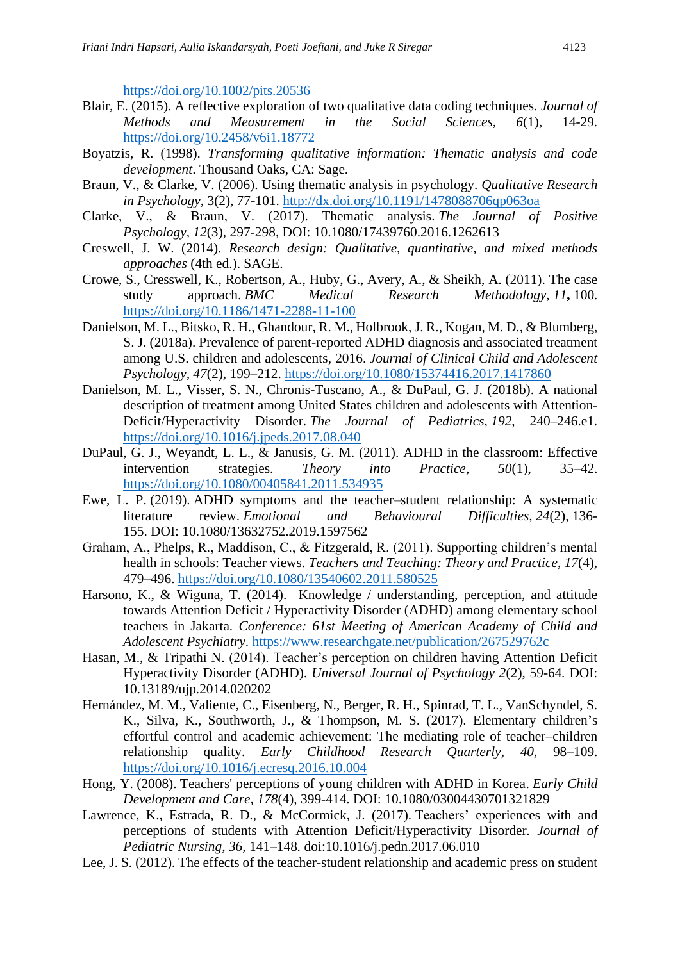<https://doi.org/10.1002/pits.20536>

- Blair, E. (2015). A reflective exploration of two qualitative data coding techniques. *Journal of Methods and Measurement in the Social Sciences, 6*(1), 14-29. <https://doi.org/10.2458/v6i1.18772>
- Boyatzis, R. (1998). *Transforming qualitative information: Thematic analysis and code development*. Thousand Oaks, CA: Sage.
- Braun, V., & Clarke, V. (2006). Using thematic analysis in psychology. *Qualitative Research in Psychology,* 3(2), 77-101.<http://dx.doi.org/10.1191/1478088706qp063oa>
- Clarke, V., & Braun, V. (2017). Thematic analysis. *The Journal of Positive Psychology, 12*(3), 297-298, DOI: 10.1080/17439760.2016.1262613
- Creswell, J. W. (2014). *Research design: Qualitative, quantitative, and mixed methods approaches* (4th ed.). SAGE.
- Crowe, S., Cresswell, K., Robertson, A., Huby, G., Avery, A., & Sheikh, A. (2011). The case study approach. *BMC Medical Research Methodology, 11***,** 100. <https://doi.org/10.1186/1471-2288-11-100>
- Danielson, M. L., Bitsko, R. H., Ghandour, R. M., Holbrook, J. R., Kogan, M. D., & Blumberg, S. J. (2018a). Prevalence of parent-reported ADHD diagnosis and associated treatment among U.S. children and adolescents, 2016. *Journal of Clinical Child and Adolescent Psychology, 47*(2), 199–212.<https://doi.org/10.1080/15374416.2017.1417860>
- Danielson, M. L., Visser, S. N., Chronis-Tuscano, A., & DuPaul, G. J. (2018b). A national description of treatment among United States children and adolescents with Attention-Deficit/Hyperactivity Disorder. *The Journal of Pediatrics*, *192*, 240–246.e1. <https://doi.org/10.1016/j.jpeds.2017.08.040>
- DuPaul, G. J., Weyandt, L. L., & Janusis, G. M. (2011). ADHD in the classroom: Effective intervention strategies. *Theory into Practice*, *50*(1), 35–42. <https://doi.org/10.1080/00405841.2011.534935>
- Ewe, L. P. (2019). ADHD symptoms and the teacher–student relationship: A systematic literature review. *Emotional and Behavioural Difficulties, 24*(2), 136- 155. DOI: 10.1080/13632752.2019.1597562
- Graham, A., Phelps, R., Maddison, C., & Fitzgerald, R. (2011). Supporting children's mental health in schools: Teacher views. *Teachers and Teaching: Theory and Practice*, *17*(4), 479–496.<https://doi.org/10.1080/13540602.2011.580525>
- Harsono, K., & Wiguna, T. (2014). Knowledge / understanding, perception, and attitude towards Attention Deficit / Hyperactivity Disorder (ADHD) among elementary school teachers in Jakarta. *Conference: 61st Meeting of American Academy of Child and Adolescent Psychiatry*. <https://www.researchgate.net/publication/267529762c>
- Hasan, M., & Tripathi N. (2014). Teacher's perception on children having Attention Deficit Hyperactivity Disorder (ADHD). *Universal Journal of Psychology 2*(2), 59-64*.* DOI: 10.13189/ujp.2014.020202
- Hernández, M. M., Valiente, C., Eisenberg, N., Berger, R. H., Spinrad, T. L., VanSchyndel, S. K., Silva, K., Southworth, J., & Thompson, M. S. (2017). Elementary children's effortful control and academic achievement: The mediating role of teacher–children relationship quality. *Early Childhood Research Quarterly*, *40*, 98–109. <https://doi.org/10.1016/j.ecresq.2016.10.004>
- Hong, Y. (2008). Teachers' perceptions of young children with ADHD in Korea. *Early Child Development and Care, 178*(4), 399-414. DOI: 10.1080/03004430701321829
- Lawrence, K., Estrada, R. D., & McCormick, J. (2017). Teachers' experiences with and perceptions of students with Attention Deficit/Hyperactivity Disorder*. Journal of Pediatric Nursing, 36,* 141–148*.* doi:10.1016/j.pedn.2017.06.010
- Lee, J. S. (2012). The effects of the teacher-student relationship and academic press on student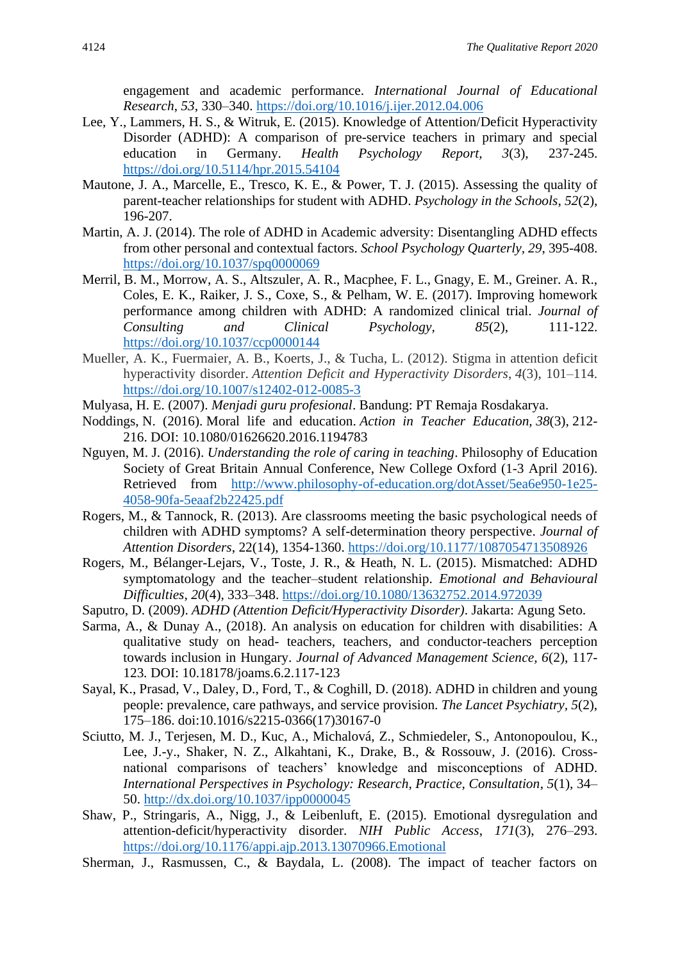engagement and academic performance. *International Journal of Educational Research*, *53*, 330–340.<https://doi.org/10.1016/j.ijer.2012.04.006>

- Lee, Y., Lammers, H. S., & Witruk, E. (2015). Knowledge of Attention/Deficit Hyperactivity Disorder (ADHD): A comparison of pre-service teachers in primary and special education in Germany. *Health Psychology Report, 3*(3), 237-245. <https://doi.org/10.5114/hpr.2015.54104>
- Mautone, J. A., Marcelle, E., Tresco, K. E., & Power, T. J. (2015). Assessing the quality of parent-teacher relationships for student with ADHD. *Psychology in the Schools*, *52*(2), 196-207.
- Martin, A. J. (2014). The role of ADHD in Academic adversity: Disentangling ADHD effects from other personal and contextual factors. *School Psychology Quarterly, 29*, 395-408. <https://doi.org/10.1037/spq0000069>
- Merril, B. M., Morrow, A. S., Altszuler, A. R., Macphee, F. L., Gnagy, E. M., Greiner. A. R., Coles, E. K., Raiker, J. S., Coxe, S., & Pelham, W. E. (2017). Improving homework performance among children with ADHD: A randomized clinical trial. *Journal of Consulting and Clinical Psychology, 85*(2), 111-122. <https://doi.org/10.1037/ccp0000144>
- Mueller, A. K., Fuermaier, A. B., Koerts, J., & Tucha, L. (2012). Stigma in attention deficit hyperactivity disorder. *Attention Deficit and Hyperactivity Disorders*, *4*(3), 101–114. <https://doi.org/10.1007/s12402-012-0085-3>
- Mulyasa, H. E. (2007). *Menjadi guru profesional*. Bandung: PT Remaja Rosdakarya.
- Noddings, N. (2016). Moral life and education. *Action in Teacher Education, 38*(3), 212- 216. DOI: 10.1080/01626620.2016.1194783
- Nguyen, M. J. (2016). *Understanding the role of caring in teaching*. Philosophy of Education Society of Great Britain Annual Conference, New College Oxford (1-3 April 2016). Retrieved from [http://www.philosophy-of-education.org/dotAsset/5ea6e950-1e25-](http://www.philosophy-of-education.org/dotAsset/5ea6e950-1e25-4058-90fa-5eaaf2b22425.pdf) [4058-90fa-5eaaf2b22425.pdf](http://www.philosophy-of-education.org/dotAsset/5ea6e950-1e25-4058-90fa-5eaaf2b22425.pdf)
- Rogers, M., & Tannock, R. (2013). Are classrooms meeting the basic psychological needs of children with ADHD symptoms? A self-determination theory perspective. *Journal of Attention Disorders*, 22(14), 1354-1360.<https://doi.org/10.1177/1087054713508926>
- Rogers, M., Bélanger-Lejars, V., Toste, J. R., & Heath, N. L. (2015). Mismatched: ADHD symptomatology and the teacher–student relationship. *Emotional and Behavioural Difficulties*, *20*(4), 333–348.<https://doi.org/10.1080/13632752.2014.972039>
- Saputro, D. (2009). *ADHD (Attention Deficit/Hyperactivity Disorder)*. Jakarta: Agung Seto.
- Sarma, A., & Dunay A., (2018). An analysis on education for children with disabilities: A qualitative study on head- teachers, teachers, and conductor-teachers perception towards inclusion in Hungary. *Journal of Advanced Management Science, 6*(2), 117- 123*.* DOI: 10.18178/joams.6.2.117-123
- Sayal, K., Prasad, V., Daley, D., Ford, T., & Coghill, D. (2018). ADHD in children and young people: prevalence, care pathways, and service provision. *The Lancet Psychiatry, 5*(2), 175–186. doi:10.1016/s2215-0366(17)30167-0
- Sciutto, M. J., Terjesen, M. D., Kuc, A., Michalová, Z., Schmiedeler, S., Antonopoulou, K., Lee, J.-y., Shaker, N. Z., Alkahtani, K., Drake, B., & Rossouw, J. (2016). Crossnational comparisons of teachers' knowledge and misconceptions of ADHD. *International Perspectives in Psychology: Research, Practice, Consultation*, *5*(1), 34– 50.<http://dx.doi.org/10.1037/ipp0000045>
- Shaw, P., Stringaris, A., Nigg, J., & Leibenluft, E. (2015). Emotional dysregulation and attention-deficit/hyperactivity disorder. *NIH Public Access*, *171*(3), 276–293. <https://doi.org/10.1176/appi.ajp.2013.13070966.Emotional>
- Sherman, J., Rasmussen, C., & Baydala, L. (2008). The impact of teacher factors on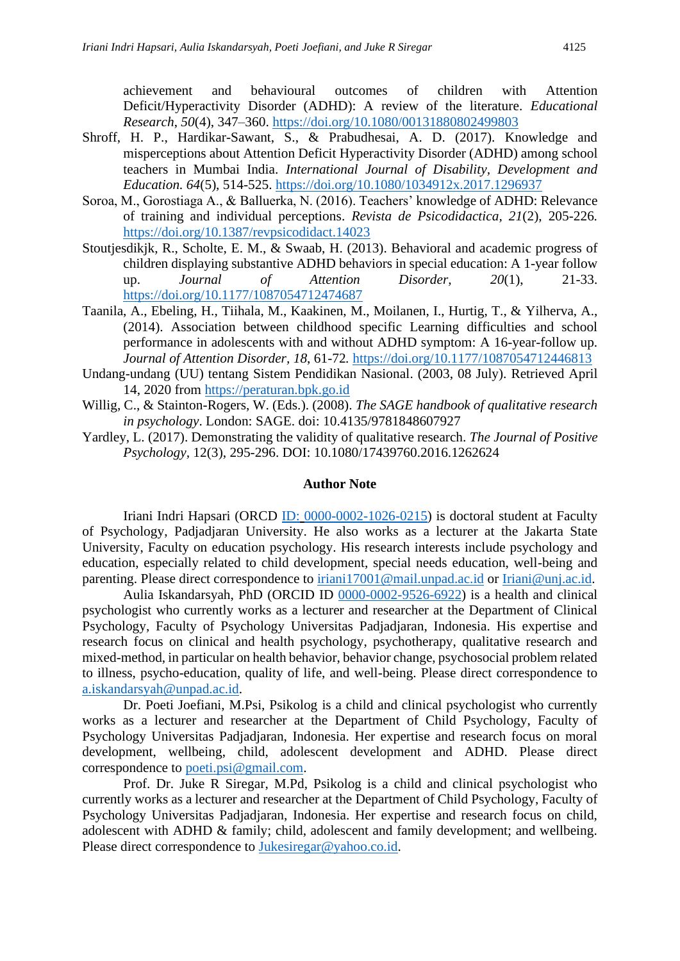achievement and behavioural outcomes of children with Attention Deficit/Hyperactivity Disorder (ADHD): A review of the literature. *Educational Research*, *50*(4), 347–360.<https://doi.org/10.1080/00131880802499803>

- Shroff, H. P., Hardikar-Sawant, S., & Prabudhesai, A. D. (2017). Knowledge and misperceptions about Attention Deficit Hyperactivity Disorder (ADHD) among school teachers in Mumbai India. *International Journal of Disability, Development and Education. 64*(5), 514-525.<https://doi.org/10.1080/1034912x.2017.1296937>
- Soroa, M., Gorostiaga A., & Balluerka, N. (2016). Teachers' knowledge of ADHD: Relevance of training and individual perceptions. *Revista de Psicodidactica, 21*(2), 205-226*.* <https://doi.org/10.1387/revpsicodidact.14023>
- Stoutjesdikjk, R., Scholte, E. M., & Swaab, H. (2013). Behavioral and academic progress of children displaying substantive ADHD behaviors in special education: A 1-year follow up. *Journal of Attention Disorder, 20*(1), 21-33. <https://doi.org/10.1177/1087054712474687>
- Taanila, A., Ebeling, H., Tiihala, M., Kaakinen, M., Moilanen, I., Hurtig, T., & Yilherva, A., (2014). Association between childhood specific Learning difficulties and school performance in adolescents with and without ADHD symptom: A 16-year-follow up. *Journal of Attention Disorder, 18*, 61-72*.* <https://doi.org/10.1177/1087054712446813>
- Undang-undang (UU) tentang Sistem Pendidikan Nasional. (2003, 08 July). Retrieved April 14, 2020 from [https://peraturan.bpk.go.id](https://peraturan.bpk.go.id/)
- Willig, C., & Stainton-Rogers, W. (Eds.). (2008). *The SAGE handbook of qualitative research in psychology*. London: SAGE. doi: 10.4135/9781848607927
- Yardley, L. (2017). Demonstrating the validity of qualitative research. *The Journal of Positive Psychology,* 12(3), 295-296. DOI: 10.1080/17439760.2016.1262624

## **Author Note**

Iriani Indri Hapsari (ORCD [ID:](https://nam10.safelinks.protection.outlook.com/?url=https%3A%2F%2Forcid.org%2F0000-0002-1026-0215&data=04%7C01%7Cron%40nova.edu%7C1ca8172d5df04babef1108d88eace44d%7C2c2b2d312e3e4df1b571fb37c042ff1b%7C1%7C1%7C637416221227115613%7CUnknown%7CTWFpbGZsb3d8eyJWIjoiMC4wLjAwMDAiLCJQIjoiV2luMzIiLCJBTiI6Ik1haWwiLCJXVCI6Mn0%3D%7C2000&sdata=SmHXz5eVObSBf0%2BGhW2BaXIcHsXeXAoHUUPOuJQZBTY%3D&reserved=0) [0000-0002-1026-0215\)](https://nam10.safelinks.protection.outlook.com/?url=https%3A%2F%2Forcid.org%2F0000-0002-1026-0215&data=04%7C01%7Cron%40nova.edu%7C1ca8172d5df04babef1108d88eace44d%7C2c2b2d312e3e4df1b571fb37c042ff1b%7C1%7C1%7C637416221227115613%7CUnknown%7CTWFpbGZsb3d8eyJWIjoiMC4wLjAwMDAiLCJQIjoiV2luMzIiLCJBTiI6Ik1haWwiLCJXVCI6Mn0%3D%7C2000&sdata=SmHXz5eVObSBf0%2BGhW2BaXIcHsXeXAoHUUPOuJQZBTY%3D&reserved=0) is doctoral student at Faculty of Psychology, Padjadjaran University. He also works as a lecturer at the Jakarta State University, Faculty on education psychology. His research interests include psychology and education, especially related to child development, special needs education, well-being and parenting. Please direct correspondence to [iriani17001@mail.unpad.ac.id](mailto:iriani17001@mail.unpad.ac.id) or [Iriani@unj.ac.id.](mailto:Iriani@unj.ac.id)

Aulia Iskandarsyah, PhD (ORCID ID [0000-0002-9526-6922\)](https://nam10.safelinks.protection.outlook.com/?url=https%3A%2F%2Forcid.org%2F0000-0002-9526-6922&data=04%7C01%7Cron%40nova.edu%7C1ca8172d5df04babef1108d88eace44d%7C2c2b2d312e3e4df1b571fb37c042ff1b%7C1%7C1%7C637416221227120601%7CUnknown%7CTWFpbGZsb3d8eyJWIjoiMC4wLjAwMDAiLCJQIjoiV2luMzIiLCJBTiI6Ik1haWwiLCJXVCI6Mn0%3D%7C2000&sdata=bi96nS%2BZTR9LY0lFWcdwE3PBD4tQwmz61V949UAIHik%3D&reserved=0) is a health and clinical psychologist who currently works as a lecturer and researcher at the Department of Clinical Psychology, Faculty of Psychology Universitas Padjadjaran, Indonesia. His expertise and research focus on clinical and health psychology, psychotherapy, qualitative research and mixed-method, in particular on health behavior, behavior change, psychosocial problem related to illness, psycho-education, quality of life, and well-being. Please direct correspondence to [a.iskandarsyah@unpad.ac.id.](mailto:a.iskandarsyah@unpad.ac.id)

Dr. Poeti Joefiani, M.Psi, Psikolog is a child and clinical psychologist who currently works as a lecturer and researcher at the Department of Child Psychology, Faculty of Psychology Universitas Padjadjaran, Indonesia. Her expertise and research focus on moral development, wellbeing, child, adolescent development and ADHD. Please direct correspondence to [poeti.psi@gmail.com.](mailto:poeti.psi@gmail.com)

Prof. Dr. Juke R Siregar, M.Pd, Psikolog is a child and clinical psychologist who currently works as a lecturer and researcher at the Department of Child Psychology, Faculty of Psychology Universitas Padjadjaran, Indonesia. Her expertise and research focus on child, adolescent with ADHD & family; child, adolescent and family development; and wellbeing. Please direct correspondence to [Jukesiregar@yahoo.co.id.](mailto:Jukesiregar@yahoo.co.id)